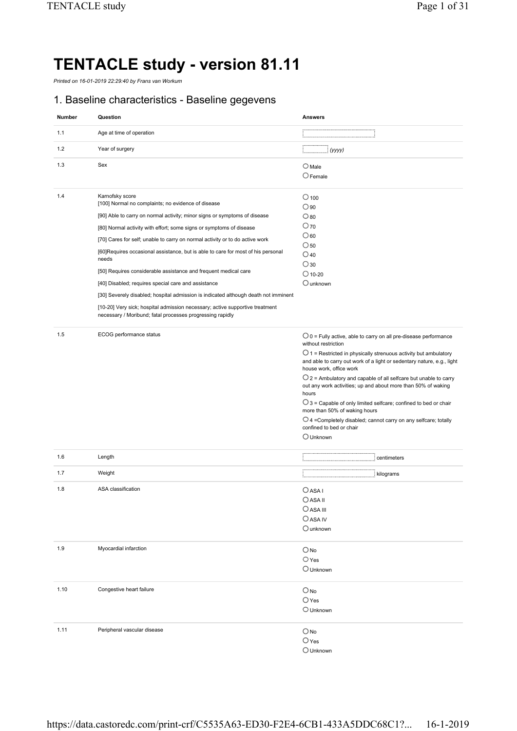# **TENTACLE study - version 81.11**

*Printed on 16-01-2019 22:29:40 by Frans van Workum* 

#### 1. Baseline characteristics - Baseline gegevens

| <b>Number</b> | Question                                                                                                                                  | <b>Answers</b>                                                                                                                                                                 |
|---------------|-------------------------------------------------------------------------------------------------------------------------------------------|--------------------------------------------------------------------------------------------------------------------------------------------------------------------------------|
| 1.1           | Age at time of operation                                                                                                                  |                                                                                                                                                                                |
| 1.2           | Year of surgery                                                                                                                           | <br>$\vdots$ (yyyy)                                                                                                                                                            |
| 1.3           | Sex                                                                                                                                       | $\bigcirc$ Male<br>$\bigcirc$ Female                                                                                                                                           |
| 1.4           | Karnofsky score<br>[100] Normal no complaints; no evidence of disease                                                                     | $\bigcirc$ 100                                                                                                                                                                 |
|               | [90] Able to carry on normal activity; minor signs or symptoms of disease                                                                 | $\bigcirc$ 90<br>$\circ$ 80                                                                                                                                                    |
|               | [80] Normal activity with effort; some signs or symptoms of disease                                                                       | $O$ 70                                                                                                                                                                         |
|               |                                                                                                                                           | $\circ$ 60                                                                                                                                                                     |
|               | [70] Cares for self; unable to carry on normal activity or to do active work                                                              | $\bigcirc$ 50                                                                                                                                                                  |
|               | [60] Requires occasional assistance, but is able to care for most of his personal<br>needs                                                | $\bigcirc$ 40                                                                                                                                                                  |
|               | [50] Requires considerable assistance and frequent medical care                                                                           | $\bigcirc$ 30                                                                                                                                                                  |
|               |                                                                                                                                           | $\bigcirc$ 10-20                                                                                                                                                               |
|               | [40] Disabled; requires special care and assistance                                                                                       | $\bigcirc$ unknown                                                                                                                                                             |
|               | [30] Severely disabled; hospital admission is indicated although death not imminent                                                       |                                                                                                                                                                                |
|               | [10-20] Very sick; hospital admission necessary; active supportive treatment<br>necessary / Moribund; fatal processes progressing rapidly |                                                                                                                                                                                |
| 1.5           | ECOG performance status                                                                                                                   | $\bigcirc$ 0 = Fully active, able to carry on all pre-disease performance<br>without restriction                                                                               |
|               |                                                                                                                                           | $\bigcirc$ 1 = Restricted in physically strenuous activity but ambulatory<br>and able to carry out work of a light or sedentary nature, e.g., light<br>house work, office work |
|               |                                                                                                                                           | $\bigcirc$ 2 = Ambulatory and capable of all selfcare but unable to carry<br>out any work activities; up and about more than 50% of waking<br>hours                            |
|               |                                                                                                                                           | $\bigcirc$ 3 = Capable of only limited selfcare; confined to bed or chair<br>more than 50% of waking hours                                                                     |
|               |                                                                                                                                           | $\bigcirc$ 4 = Completely disabled; cannot carry on any selfcare; totally<br>confined to bed or chair                                                                          |
|               |                                                                                                                                           | $\bigcirc$ Unknown                                                                                                                                                             |
| 1.6           | Length                                                                                                                                    |                                                                                                                                                                                |
| 1.7           | Weight                                                                                                                                    | : kilograms                                                                                                                                                                    |
| 1.8           | ASA classification                                                                                                                        | $O$ ASA I                                                                                                                                                                      |
|               |                                                                                                                                           | $\bigcirc$ asa ii                                                                                                                                                              |
|               |                                                                                                                                           | $\bigcirc$ ASA III                                                                                                                                                             |
|               |                                                                                                                                           | $\bigcirc$ ASA IV                                                                                                                                                              |
|               |                                                                                                                                           | $\bigcirc$ unknown                                                                                                                                                             |
| 1.9           | Myocardial infarction                                                                                                                     | $\bigcirc$ No                                                                                                                                                                  |
|               |                                                                                                                                           | $\bigcirc$ Yes                                                                                                                                                                 |
|               |                                                                                                                                           | $\bigcirc$ Unknown                                                                                                                                                             |
| 1.10          | Congestive heart failure                                                                                                                  | $O$ <sub>No</sub>                                                                                                                                                              |
|               |                                                                                                                                           | $\bigcirc$ Yes                                                                                                                                                                 |
|               |                                                                                                                                           | $\bigcirc$ Unknown                                                                                                                                                             |
| 1.11          | Peripheral vascular disease                                                                                                               | $O$ No                                                                                                                                                                         |
|               |                                                                                                                                           | $\bigcirc$ Yes                                                                                                                                                                 |
|               |                                                                                                                                           | $\bigcirc$ Unknown                                                                                                                                                             |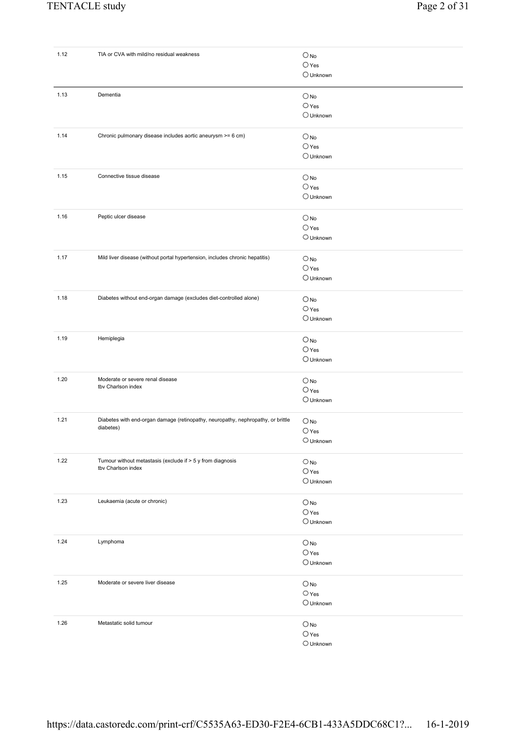| 1.12 | TIA or CVA with mild/no residual weakness                                        | $\bigcirc$ No      |
|------|----------------------------------------------------------------------------------|--------------------|
|      |                                                                                  | $O$ Yes            |
|      |                                                                                  | $\bigcirc$ Unknown |
|      |                                                                                  |                    |
| 1.13 | Dementia                                                                         | $\bigcirc$ No      |
|      |                                                                                  | $\bigcirc$ Yes     |
|      |                                                                                  | $\bigcirc$ Unknown |
|      |                                                                                  |                    |
| 1.14 | Chronic pulmonary disease includes aortic aneurysm >= 6 cm)                      | $O$ <sub>No</sub>  |
|      |                                                                                  |                    |
|      |                                                                                  | $\bigcirc$ Yes     |
|      |                                                                                  | O Unknown          |
|      |                                                                                  |                    |
| 1.15 | Connective tissue disease                                                        | $\bigcirc$ No      |
|      |                                                                                  | $\bigcirc$ Yes     |
|      |                                                                                  | $\bigcirc$ Unknown |
|      |                                                                                  |                    |
| 1.16 | Peptic ulcer disease                                                             | $\bigcirc$ No      |
|      |                                                                                  |                    |
|      |                                                                                  | $\bigcirc$ Yes     |
|      |                                                                                  | $\bigcirc$ Unknown |
|      |                                                                                  |                    |
| 1.17 | Mild liver disease (without portal hypertension, includes chronic hepatitis)     | $\bigcirc$ No      |
|      |                                                                                  | $\bigcirc$ Yes     |
|      |                                                                                  | $\bigcirc$ Unknown |
|      |                                                                                  |                    |
| 1.18 | Diabetes without end-organ damage (excludes diet-controlled alone)               |                    |
|      |                                                                                  | $O$ <sub>No</sub>  |
|      |                                                                                  | $\bigcirc$ Yes     |
|      |                                                                                  | $\bigcirc$ Unknown |
|      |                                                                                  |                    |
| 1.19 | Hemiplegia                                                                       | $\bigcirc$ No      |
|      |                                                                                  | $\bigcirc$ Yes     |
|      |                                                                                  | $\bigcirc$ Unknown |
|      |                                                                                  |                    |
| 1.20 | Moderate or severe renal disease                                                 | $\bigcirc$ No      |
|      | tby Charlson index                                                               | $O$ Yes            |
|      |                                                                                  | O Unknown          |
|      |                                                                                  |                    |
| 1.21 | Diabetes with end-organ damage (retinopathy, neuropathy, nephropathy, or brittle |                    |
|      | diabetes)                                                                        | $\bigcirc$ No      |
|      |                                                                                  | $\bigcirc$ Yes     |
|      |                                                                                  | $\bigcirc$ Unknown |
|      |                                                                                  |                    |
| 1.22 | Tumour without metastasis (exclude if > 5 y from diagnosis                       | $\bigcirc$ No      |
|      | tbv Charlson index                                                               | $\bigcirc$ Yes     |
|      |                                                                                  | $\bigcirc$ Unknown |
|      |                                                                                  |                    |
| 1.23 | Leukaemia (acute or chronic)                                                     |                    |
|      |                                                                                  | $\bigcirc$ No      |
|      |                                                                                  | $\bigcirc$ Yes     |
|      |                                                                                  | $\bigcirc$ Unknown |
|      |                                                                                  |                    |
| 1.24 | Lymphoma                                                                         | $\bigcirc$ No      |
|      |                                                                                  | $\bigcirc$ Yes     |
|      |                                                                                  | $\bigcirc$ Unknown |
|      |                                                                                  |                    |
| 1.25 | Moderate or severe liver disease                                                 | $\bigcirc$ No      |
|      |                                                                                  | $\bigcirc$ Yes     |
|      |                                                                                  |                    |
|      |                                                                                  | $\bigcirc$ Unknown |
|      |                                                                                  |                    |
| 1.26 | Metastatic solid tumour                                                          | $O$ No             |
|      |                                                                                  | $\bigcirc$ Yes     |
|      |                                                                                  | $\bigcirc$ Unknown |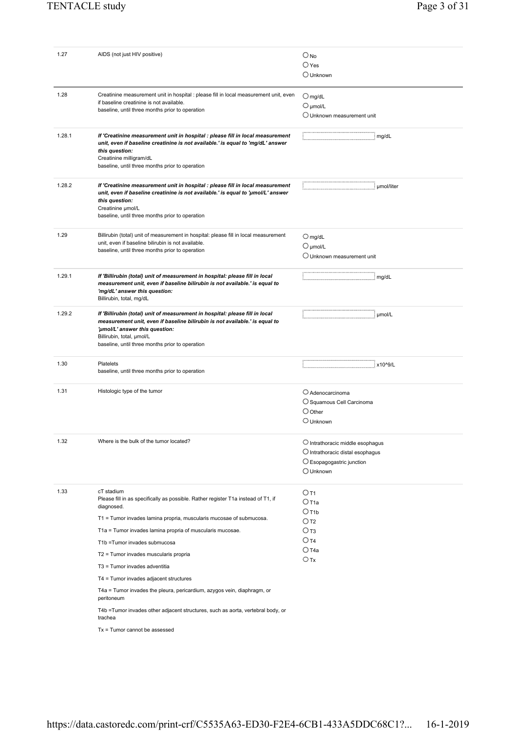| 1.27   | AIDS (not just HIV positive)                                                                                  | $O_{NQ}$                                                                                                                                                                 |
|--------|---------------------------------------------------------------------------------------------------------------|--------------------------------------------------------------------------------------------------------------------------------------------------------------------------|
|        |                                                                                                               | $\bigcirc$ Yes                                                                                                                                                           |
|        |                                                                                                               | $\bigcirc$ Unknown                                                                                                                                                       |
|        |                                                                                                               |                                                                                                                                                                          |
| 1.28   | Creatinine measurement unit in hospital : please fill in local measurement unit, even                         | $O$ mg/dL                                                                                                                                                                |
|        | if baseline creatinine is not available.                                                                      | $\bigcirc$ µmol/L                                                                                                                                                        |
|        | baseline, until three months prior to operation                                                               | $\bigcirc$ Unknown measurement unit                                                                                                                                      |
|        |                                                                                                               |                                                                                                                                                                          |
| 1.28.1 | If 'Creatinine measurement unit in hospital : please fill in local measurement                                | : mg/dL                                                                                                                                                                  |
|        | unit, even if baseline creatinine is not available.' is equal to 'mg/dL' answer                               |                                                                                                                                                                          |
|        | this question:<br>Creatinine milligram/dL                                                                     |                                                                                                                                                                          |
|        | baseline, until three months prior to operation                                                               |                                                                                                                                                                          |
|        |                                                                                                               |                                                                                                                                                                          |
| 1.28.2 | If 'Creatinine measurement unit in hospital : please fill in local measurement                                |                                                                                                                                                                          |
|        | unit, even if baseline creatinine is not available.' is equal to 'umol/L' answer                              |                                                                                                                                                                          |
|        | this question:<br>Creatinine umol/L                                                                           |                                                                                                                                                                          |
|        | baseline, until three months prior to operation                                                               |                                                                                                                                                                          |
|        |                                                                                                               |                                                                                                                                                                          |
| 1.29   | Billirubin (total) unit of measurement in hospital: please fill in local measurement                          | $O$ mg/dL                                                                                                                                                                |
|        | unit, even if baseline bilirubin is not available.                                                            | $O$ µmol/L                                                                                                                                                               |
|        | baseline, until three months prior to operation                                                               | $\bigcirc$ Unknown measurement unit                                                                                                                                      |
|        |                                                                                                               |                                                                                                                                                                          |
| 1.29.1 | If 'Billirubin (total) unit of measurement in hospital: please fill in local                                  | $\mathbf{H}$ $\mathbf{H}$ $\mathbf{H}$ $\mathbf{H}$ $\mathbf{H}$ $\mathbf{H}$ $\mathbf{H}$ $\mathbf{H}$ $\mathbf{H}$ $\mathbf{H}$ $\mathbf{H}$ $\mathbf{H}$ $\mathbf{H}$ |
|        | measurement unit, even if baseline bilirubin is not available.' is equal to                                   |                                                                                                                                                                          |
|        | 'mg/dL' answer this question:<br>Billirubin, total, mg/dL                                                     |                                                                                                                                                                          |
|        |                                                                                                               |                                                                                                                                                                          |
| 1.29.2 | If 'Billirubin (total) unit of measurement in hospital: please fill in local                                  | : µmol/L                                                                                                                                                                 |
|        | measurement unit, even if baseline bilirubin is not available.' is equal to<br>'µmol/L' answer this question: |                                                                                                                                                                          |
|        | Billirubin, total, µmol/L                                                                                     |                                                                                                                                                                          |
|        | baseline, until three months prior to operation                                                               |                                                                                                                                                                          |
|        |                                                                                                               |                                                                                                                                                                          |
| 1.30   | Platelets<br>baseline, until three months prior to operation                                                  |                                                                                                                                                                          |
|        |                                                                                                               |                                                                                                                                                                          |
| 1.31   | Histologic type of the tumor                                                                                  | $\bigcirc$ Adenocarcinoma                                                                                                                                                |
|        |                                                                                                               | O Squamous Cell Carcinoma                                                                                                                                                |
|        |                                                                                                               | $\bigcirc$ Other                                                                                                                                                         |
|        |                                                                                                               | $\bigcirc$ Unknown                                                                                                                                                       |
|        |                                                                                                               |                                                                                                                                                                          |
| 1.32   | Where is the bulk of the tumor located?                                                                       | $\bigcirc$ Intrathoracic middle esophagus                                                                                                                                |
|        |                                                                                                               | $\bigcirc$ Intrathoracic distal esophagus                                                                                                                                |
|        |                                                                                                               | $\bigcirc$ Esopagogastric junction                                                                                                                                       |
|        |                                                                                                               | $\bigcirc$ Unknown                                                                                                                                                       |
|        |                                                                                                               |                                                                                                                                                                          |
| 1.33   | cT stadium                                                                                                    | $O$ T <sub>1</sub>                                                                                                                                                       |
|        | Please fill in as specifically as possible. Rather register T1a instead of T1, if<br>diagnosed.               | $O$ T <sub>1a</sub>                                                                                                                                                      |
|        |                                                                                                               | $O$ T <sub>1</sub> b                                                                                                                                                     |
|        | T1 = Tumor invades lamina propria, muscularis mucosae of submucosa.                                           | $\bigcirc$ t2                                                                                                                                                            |
|        | T1a = Tumor invades lamina propria of muscularis mucosae.                                                     | $O$ T3                                                                                                                                                                   |
|        | T1b = Tumor invades submucosa                                                                                 | $O$ T4<br>$\bigcirc$ T4a                                                                                                                                                 |
|        | T2 = Tumor invades muscularis propria                                                                         | $\bigcirc$ Tx                                                                                                                                                            |
|        | T3 = Tumor invades adventitia                                                                                 |                                                                                                                                                                          |
|        | T4 = Tumor invades adjacent structures                                                                        |                                                                                                                                                                          |
|        | T4a = Tumor invades the pleura, pericardium, azygos vein, diaphragm, or                                       |                                                                                                                                                                          |
|        | peritoneum                                                                                                    |                                                                                                                                                                          |
|        | T4b =Tumor invades other adjacent structures, such as aorta, vertebral body, or                               |                                                                                                                                                                          |
|        | trachea                                                                                                       |                                                                                                                                                                          |
|        | $Tx = T$ umor cannot be assessed                                                                              |                                                                                                                                                                          |
|        |                                                                                                               |                                                                                                                                                                          |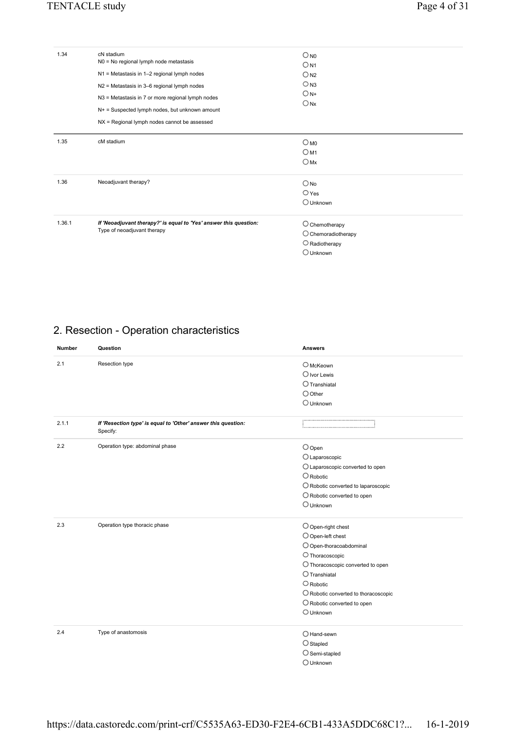| 1.34   | cN stadium<br>N0 = No regional lymph node metastasis<br>N1 = Metastasis in 1-2 regional lymph nodes<br>N2 = Metastasis in 3-6 regional lymph nodes<br>N3 = Metastasis in 7 or more regional lymph nodes<br>$N+$ = Suspected lymph nodes, but unknown amount<br>NX = Regional lymph nodes cannot be assessed | $\bigcirc_{\textsf{NO}}$<br>$O_{N1}$<br>O <sub>N2</sub><br>$\bigcirc$ <sub>N3</sub><br>$O_{N+}$<br>$\bigcirc$ <sub>Nx</sub> |
|--------|-------------------------------------------------------------------------------------------------------------------------------------------------------------------------------------------------------------------------------------------------------------------------------------------------------------|-----------------------------------------------------------------------------------------------------------------------------|
| 1.35   | cM stadium                                                                                                                                                                                                                                                                                                  | $O_{\text{MO}}$<br>OM1<br>OMX                                                                                               |
| 1.36   | Neoadjuvant therapy?                                                                                                                                                                                                                                                                                        | $\bigcirc$ No<br>$\bigcirc$ Yes<br>$\bigcirc$ Unknown                                                                       |
| 1.36.1 | If 'Neoadjuvant therapy?' is equal to 'Yes' answer this question:<br>Type of neoadjuvant therapy                                                                                                                                                                                                            | $\bigcirc$ Chemotherapy<br>$\bigcirc$ Chemoradiotherapy<br>$\bigcirc$ Radiotherapy<br>$\bigcirc$ Unknown                    |

## 2. Resection - Operation characteristics

| <b>Number</b> | Question                                                                  | <b>Answers</b>                                |
|---------------|---------------------------------------------------------------------------|-----------------------------------------------|
| 2.1           | Resection type                                                            | $O$ McKeown                                   |
|               |                                                                           | $\bigcirc$ Ivor Lewis                         |
|               |                                                                           | $\bigcirc$ Transhiatal                        |
|               |                                                                           | $\bigcirc$ Other                              |
|               |                                                                           | $\bigcirc$ Unknown                            |
| 2.1.1         | If 'Resection type' is equal to 'Other' answer this question:<br>Specify: |                                               |
| 2.2           | Operation type: abdominal phase                                           | $\bigcirc$ Open                               |
|               |                                                                           | O Laparoscopic                                |
|               |                                                                           | O Laparoscopic converted to open              |
|               |                                                                           | $\bigcirc$ Robotic                            |
|               |                                                                           | $\bigcirc$ Robotic converted to laparoscopic  |
|               |                                                                           | $\bigcirc$ Robotic converted to open          |
|               |                                                                           | $\bigcirc$ Unknown                            |
| 2.3           | Operation type thoracic phase                                             | $\bigcirc$ Open-right chest                   |
|               |                                                                           | $\bigcirc$ Open-left chest                    |
|               |                                                                           | O Open-thoracoabdominal                       |
|               |                                                                           | $\bigcirc$ Thoracoscopic                      |
|               |                                                                           | O Thoracoscopic converted to open             |
|               |                                                                           | $\bigcirc$ Transhiatal                        |
|               |                                                                           | $\bigcirc$ Robotic                            |
|               |                                                                           | $\bigcirc$ Robotic converted to thoracoscopic |
|               |                                                                           | $\bigcirc$ Robotic converted to open          |
|               |                                                                           | $\bigcirc$ Unknown                            |
| 2.4           | Type of anastomosis                                                       | $O$ Hand-sewn                                 |
|               |                                                                           | $\bigcirc$ Stapled                            |
|               |                                                                           | $\bigcirc$ Semi-stapled                       |
|               |                                                                           | $\bigcirc$ Unknown                            |

https://data.castoredc.com/print-crf/C5535A63-ED30-F2E4-6CB1-433A5DDC68C1?... 16-1-2019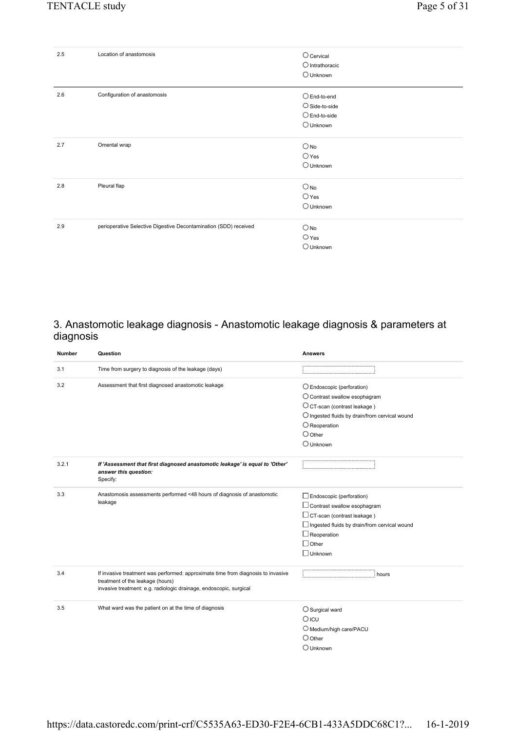| 2.5 | Location of anastomosis                                          | $\bigcirc$ Cervical<br>$\bigcirc$ Intrathoracic<br>O Unknown                              |
|-----|------------------------------------------------------------------|-------------------------------------------------------------------------------------------|
| 2.6 | Configuration of anastomosis                                     | $O$ End-to-end<br>$\bigcirc$ Side-to-side<br>$\bigcirc$ End-to-side<br>$\bigcirc$ Unknown |
| 2.7 | Omental wrap                                                     | $\bigcirc$ No<br>$\bigcirc$ Yes<br>$\bigcirc$ Unknown                                     |
| 2.8 | Pleural flap                                                     | $\bigcirc$ No<br>$\bigcirc$ Yes<br>$\bigcirc$ Unknown                                     |
| 2.9 | perioperative Selective Digestive Decontamination (SDD) received | $\bigcirc$ No<br>$\bigcirc$ Yes<br>$\bigcirc$ Unknown                                     |

#### 3. Anastomotic leakage diagnosis - Anastomotic leakage diagnosis & parameters at diagnosis

| <b>Number</b> | Question                                                                                                                                                                                   | <b>Answers</b>                                          |
|---------------|--------------------------------------------------------------------------------------------------------------------------------------------------------------------------------------------|---------------------------------------------------------|
| 3.1           | Time from surgery to diagnosis of the leakage (days)                                                                                                                                       |                                                         |
| 3.2           | Assessment that first diagnosed anastomotic leakage                                                                                                                                        | $\bigcirc$ Endoscopic (perforation)                     |
|               |                                                                                                                                                                                            | $\bigcirc$ Contrast swallow esophagram                  |
|               |                                                                                                                                                                                            | O CT-scan (contrast leakage)                            |
|               |                                                                                                                                                                                            | $\bigcirc$ Ingested fluids by drain/from cervical wound |
|               |                                                                                                                                                                                            | $\bigcirc$ Reoperation                                  |
|               |                                                                                                                                                                                            | $\bigcirc$ Other                                        |
|               |                                                                                                                                                                                            | $\bigcirc$ Unknown                                      |
| 3.2.1         | If 'Assessment that first diagnosed anastomotic leakage' is equal to 'Other'<br>answer this question:<br>Specify:                                                                          |                                                         |
| 3.3           | Anastomosis assessments performed <48 hours of diagnosis of anastomotic                                                                                                                    | Endoscopic (perforation)                                |
|               | leakage                                                                                                                                                                                    | $\Box$ Contrast swallow esophagram                      |
|               |                                                                                                                                                                                            | $\Box$ CT-scan (contrast leakage)                       |
|               |                                                                                                                                                                                            | $\Box$ Ingested fluids by drain/from cervical wound     |
|               |                                                                                                                                                                                            | $\Box$ Reoperation                                      |
|               |                                                                                                                                                                                            | $\Box$ Other                                            |
|               |                                                                                                                                                                                            | $\Box$ Unknown                                          |
| 3.4           | If invasive treatment was performed: approximate time from diagnosis to invasive<br>treatment of the leakage (hours)<br>invasive treatment: e.g. radiologic drainage, endoscopic, surgical | : hours                                                 |
| 3.5           | What ward was the patient on at the time of diagnosis                                                                                                                                      |                                                         |
|               |                                                                                                                                                                                            | $\bigcirc$ Surgical ward                                |
|               |                                                                                                                                                                                            | $O$ ICU                                                 |
|               |                                                                                                                                                                                            | O Medium/high care/PACU                                 |
|               |                                                                                                                                                                                            | $\bigcirc$ Other                                        |
|               |                                                                                                                                                                                            | $\bigcirc$ Unknown                                      |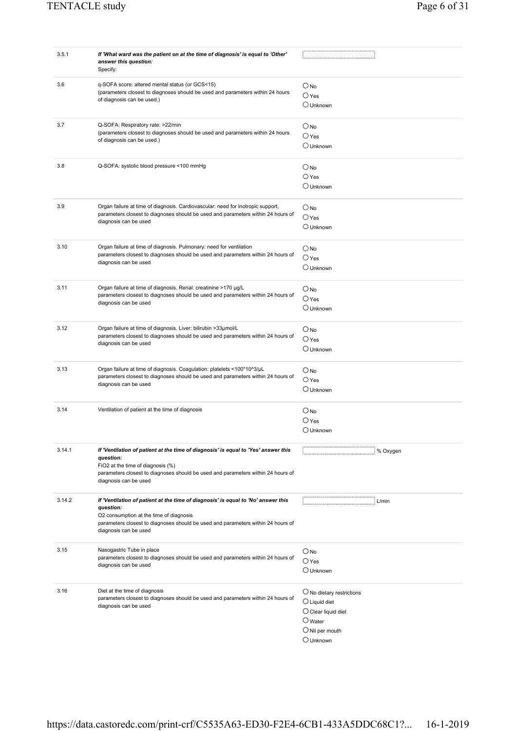| 3.5.1  | If 'What ward was the patient on at the time of diagnosis' is equal to 'Other'<br>answer this question:<br>Specify:                                                                                                                                    |                                                                                                                                                                    |
|--------|--------------------------------------------------------------------------------------------------------------------------------------------------------------------------------------------------------------------------------------------------------|--------------------------------------------------------------------------------------------------------------------------------------------------------------------|
| 3.6    | q-SOFA score: altered mental status (or GCS<15)<br>(parameters closest to diagnoses should be used and parameters within 24 hours<br>of diagnosis can be used.)                                                                                        | $\bigcirc$ No<br>$\bigcirc$ Yes<br>$\bigcirc$ Unknown                                                                                                              |
| 3.7    | Q-SOFA: Respiratory rate: >22/min<br>(parameters closest to diagnoses should be used and parameters within 24 hours<br>of diagnosis can be used.)                                                                                                      | $O_{NQ}$<br>$\bigcirc$ Yes<br>$\bigcirc$ Unknown                                                                                                                   |
| 3.8    | Q-SOFA: systolic blood pressure <100 mmHg                                                                                                                                                                                                              | $\bigcirc$ No<br>$\bigcirc$ Yes<br>$\bigcirc$ Unknown                                                                                                              |
| 3.9    | Organ failure at time of diagnosis. Cardiovascular: need for inotropic support,<br>parameters closest to diagnoses should be used and parameters within 24 hours of<br>diagnosis can be used                                                           | $\bigcirc$ No<br>$\bigcirc$ Yes<br>$\bigcirc$ Unknown                                                                                                              |
| 3.10   | Organ failure at time of diagnosis. Pulmonary: need for ventilation<br>parameters closest to diagnoses should be used and parameters within 24 hours of<br>diagnosis can be used                                                                       | $\bigcirc$ No<br>$\bigcirc$ Yes<br>$\bigcirc$ Unknown                                                                                                              |
| 3.11   | Organ failure at time of diagnosis. Renal: creatinine >170 µg/L<br>parameters closest to diagnoses should be used and parameters within 24 hours of<br>diagnosis can be used                                                                           | $\bigcirc$ No<br>$\bigcirc$ Yes<br>$\bigcirc$ Unknown                                                                                                              |
| 3.12   | Organ failure at time of diagnosis. Liver: bilirubin >33µmol/L<br>parameters closest to diagnoses should be used and parameters within 24 hours of<br>diagnosis can be used                                                                            | $\bigcirc$ No<br>$\bigcirc$ Yes<br>$\cup$ Unknown                                                                                                                  |
| 3.13   | Organ failure at time of diagnosis. Coagulation: platelets <100*10^3/µL<br>parameters closest to diagnoses should be used and parameters within 24 hours of<br>diagnosis can be used                                                                   | $\bigcirc$ No<br>$\bigcirc$ Yes<br>$\bigcirc$ Unknown                                                                                                              |
| 3.14   | Ventilation of patient at the time of diagnosis                                                                                                                                                                                                        | $\bigcirc$ No<br>$\bigcirc$ Yes<br>$\bigcirc$ Unknown                                                                                                              |
| 3.14.1 | If 'Ventilation of patient at the time of diagnosis' is equal to 'Yes' answer this<br>question:<br>FiO2 at the time of diagnosis (%)<br>parameters closest to diagnoses should be used and parameters within 24 hours of<br>diagnosis can be used      | <br>: % Oxygen                                                                                                                                                     |
| 3.14.2 | If 'Ventilation of patient at the time of diagnosis' is equal to 'No' answer this<br>question:<br>O2 consumption at the time of diagnosis<br>parameters closest to diagnoses should be used and parameters within 24 hours of<br>diagnosis can be used | : L/min                                                                                                                                                            |
| 3.15   | Nasogastric Tube in place<br>parameters closest to diagnoses should be used and parameters within 24 hours of<br>diagnosis can be used                                                                                                                 | $\bigcirc$ No<br>$O$ Yes<br>$\bigcirc$ Unknown                                                                                                                     |
| 3.16   | Diet at the time of diagnosis<br>parameters closest to diagnoses should be used and parameters within 24 hours of<br>diagnosis can be used                                                                                                             | $\bigcirc$ No dietary restrictions<br>$\bigcirc$ Liquid diet<br>$\bigcirc$ Clear liquid diet<br>$\bigcirc$ Water<br>$\bigcirc$ Nil per mouth<br>$\bigcirc$ Unknown |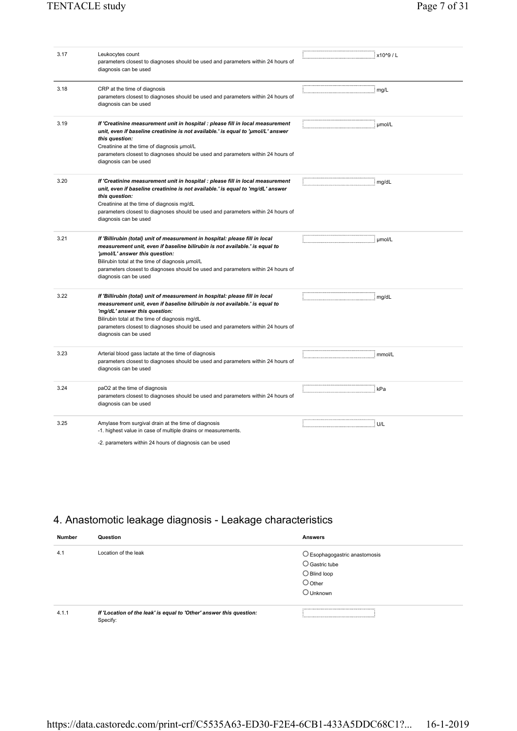| 3.17 | Leukocytes count<br>parameters closest to diagnoses should be used and parameters within 24 hours of<br>diagnosis can be used                                                                                                                                                                                                                                 | $\frac{1}{2}$ x10^9 / L |
|------|---------------------------------------------------------------------------------------------------------------------------------------------------------------------------------------------------------------------------------------------------------------------------------------------------------------------------------------------------------------|-------------------------|
| 3.18 | CRP at the time of diagnosis<br>parameters closest to diagnoses should be used and parameters within 24 hours of<br>diagnosis can be used                                                                                                                                                                                                                     |                         |
| 3.19 | If 'Creatinine measurement unit in hospital : please fill in local measurement<br>unit, even if baseline creatinine is not available.' is equal to 'umol/L' answer<br>this question:<br>Creatinine at the time of diagnosis umol/L<br>parameters closest to diagnoses should be used and parameters within 24 hours of<br>diagnosis can be used               | $\therefore$ µmol/L     |
| 3.20 | If 'Creatinine measurement unit in hospital : please fill in local measurement<br>unit, even if baseline creatinine is not available.' is equal to 'mg/dL' answer<br>this question:<br>Creatinine at the time of diagnosis mg/dL<br>parameters closest to diagnoses should be used and parameters within 24 hours of<br>diagnosis can be used                 | $:$ mg/dL               |
| 3.21 | If 'Billirubin (total) unit of measurement in hospital: please fill in local<br>measurement unit, even if baseline bilirubin is not available.' is equal to<br>'µmol/L' answer this question:<br>Bilirubin total at the time of diagnosis µmol/L<br>parameters closest to diagnoses should be used and parameters within 24 hours of<br>diagnosis can be used | $\ldots$ : µmol/L       |
| 3.22 | If 'Billirubin (total) unit of measurement in hospital: please fill in local<br>measurement unit, even if baseline bilirubin is not available.' is equal to<br>'mg/dL' answer this question:<br>Bilirubin total at the time of diagnosis mg/dL<br>parameters closest to diagnoses should be used and parameters within 24 hours of<br>diagnosis can be used   |                         |
| 3.23 | Arterial blood gass lactate at the time of diagnosis<br>parameters closest to diagnoses should be used and parameters within 24 hours of<br>diagnosis can be used                                                                                                                                                                                             | : mmol/L                |
| 3.24 | paO2 at the time of diagnosis<br>parameters closest to diagnoses should be used and parameters within 24 hours of<br>diagnosis can be used                                                                                                                                                                                                                    | : kPa                   |
| 3.25 | Amylase from surgival drain at the time of diagnosis<br>-1. highest value in case of multiple drains or measurements.<br>-2. parameters within 24 hours of diagnosis can be used                                                                                                                                                                              |                         |

## 4. Anastomotic leakage diagnosis - Leakage characteristics

| <b>Number</b> | Question                                                                        | <b>Answers</b>                         |
|---------------|---------------------------------------------------------------------------------|----------------------------------------|
| 4.1           | Location of the leak                                                            | $\bigcirc$ Esophagogastric anastomosis |
|               |                                                                                 | $\supset$ Gastric tube                 |
|               |                                                                                 | $\bigcirc$ Blind loop                  |
|               |                                                                                 | $\bigcirc$ Other                       |
|               |                                                                                 | J Unknown                              |
|               |                                                                                 |                                        |
| 4.1.1         | If 'Location of the leak' is equal to 'Other' answer this question:<br>Specify: |                                        |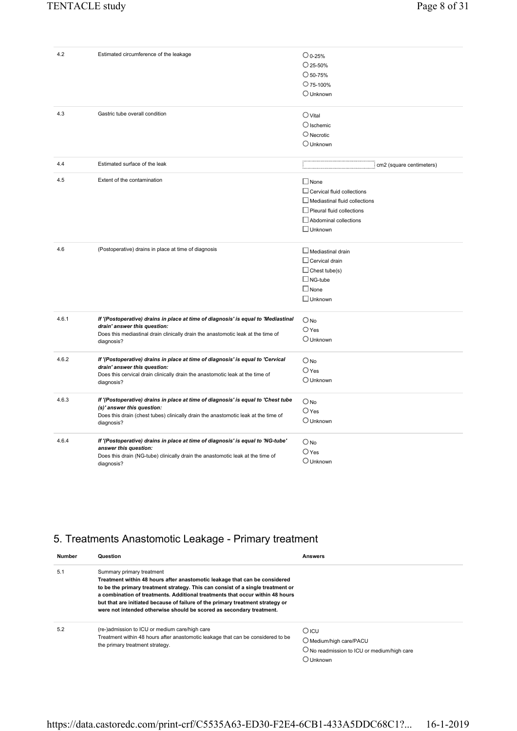| 4.2   | Estimated circumference of the leakage                                                                                                                                                                               | $\bigcirc$ 0-25%<br>$\bigcirc$ 25-50%<br>$\bigcirc$ 50-75%<br>$O$ 75-100%<br>$\bigcirc$ Unknown                                                                         |
|-------|----------------------------------------------------------------------------------------------------------------------------------------------------------------------------------------------------------------------|-------------------------------------------------------------------------------------------------------------------------------------------------------------------------|
| 4.3   | Gastric tube overall condition                                                                                                                                                                                       | $\bigcirc$ Vital<br>$\bigcirc$ Ischemic<br>$\bigcirc$ Necrotic<br>$\bigcirc$ Unknown                                                                                    |
| 4.4   | Estimated surface of the leak                                                                                                                                                                                        | : cm2 (square centimeters)<br>i                                                                                                                                         |
| 4.5   | Extent of the contamination                                                                                                                                                                                          | $\Box$ None<br>$\Box$ Cervical fluid collections<br>$\Box$ Mediastinal fluid collections<br>$\Box$ Pleural fluid collections<br>Abdominal collections<br>$\Box$ Unknown |
| 4.6   | (Postoperative) drains in place at time of diagnosis                                                                                                                                                                 | $\Box$ Mediastinal drain<br>$\Box$ Cervical drain<br>$\Box$ Chest tube(s)<br>$\Box$ NG-tube<br>$\Box$ None<br>$\Box$ Unknown                                            |
| 4.6.1 | If '(Postoperative) drains in place at time of diagnosis' is equal to 'Mediastinal<br>drain' answer this question:<br>Does this mediastinal drain clinically drain the anastomotic leak at the time of<br>diagnosis? | $O$ No.<br>$\bigcirc$ Yes<br>$\bigcirc$ Unknown                                                                                                                         |
| 4.6.2 | If '(Postoperative) drains in place at time of diagnosis' is equal to 'Cervical<br>drain' answer this question:<br>Does this cervical drain clinically drain the anastomotic leak at the time of<br>diagnosis?       | $O$ No<br>$O$ Yes<br>$\bigcirc$ Unknown                                                                                                                                 |
| 4.6.3 | If '(Postoperative) drains in place at time of diagnosis' is equal to 'Chest tube<br>(s)' answer this question:<br>Does this drain (chest tubes) clinically drain the anastomotic leak at the time of<br>diagnosis?  | $\bigcirc$ No<br>$O$ Yes<br>$\bigcirc$ Unknown                                                                                                                          |
| 4.6.4 | If '(Postoperative) drains in place at time of diagnosis' is equal to 'NG-tube'<br>answer this question:<br>Does this drain (NG-tube) clinically drain the anastomotic leak at the time of<br>diagnosis?             | $O$ No<br>$\bigcirc$ Yes<br>$\bigcirc$ Unknown                                                                                                                          |

## 5. Treatments Anastomotic Leakage - Primary treatment

| <b>Number</b> | Question                                                                                                                                                                                                                                                                                                                                                                                                                              | <b>Answers</b>                                                                                          |
|---------------|---------------------------------------------------------------------------------------------------------------------------------------------------------------------------------------------------------------------------------------------------------------------------------------------------------------------------------------------------------------------------------------------------------------------------------------|---------------------------------------------------------------------------------------------------------|
| 5.1           | Summary primary treatment<br>Treatment within 48 hours after anastomotic leakage that can be considered<br>to be the primary treatment strategy. This can consist of a single treatment or<br>a combination of treatments. Additional treatments that occur within 48 hours<br>but that are initiated because of failure of the primary treatment strategy or<br>were not intended otherwise should be scored as secondary treatment. |                                                                                                         |
| 5.2           | (re-)admission to ICU or medium care/high care<br>Treatment within 48 hours after anastomotic leakage that can be considered to be<br>the primary treatment strategy.                                                                                                                                                                                                                                                                 | $O$ ICU<br>O Medium/high care/PACU<br>$\bigcirc$ No readmission to ICU or medium/high care<br>) Unknown |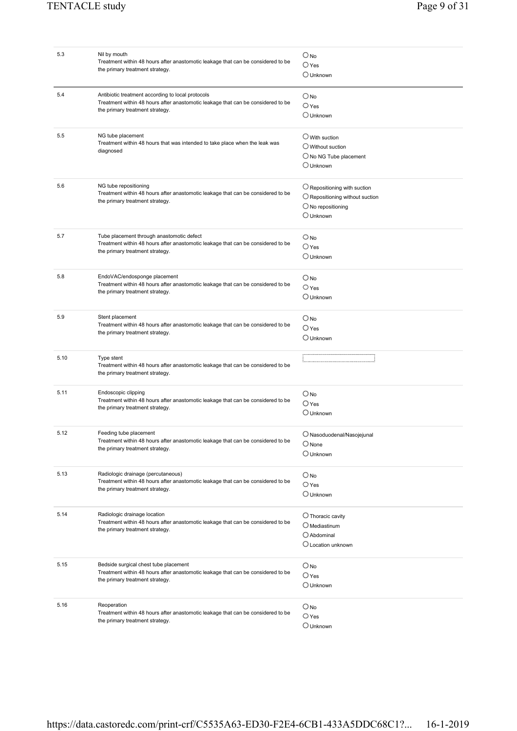| 5.3  | Nil by mouth                                                                     | $O_{\text{No}}$                          |
|------|----------------------------------------------------------------------------------|------------------------------------------|
|      | Treatment within 48 hours after anastomotic leakage that can be considered to be |                                          |
|      | the primary treatment strategy.                                                  | $\bigcirc$ Yes                           |
|      |                                                                                  | ○ Unknown                                |
|      |                                                                                  |                                          |
| 5.4  | Antibiotic treatment according to local protocols                                |                                          |
|      | Treatment within 48 hours after anastomotic leakage that can be considered to be | $\bigcirc$ No                            |
|      | the primary treatment strategy.                                                  | $\bigcirc$ Yes                           |
|      |                                                                                  | $\bigcirc$ Unknown                       |
|      |                                                                                  |                                          |
| 5.5  | NG tube placement                                                                |                                          |
|      | Treatment within 48 hours that was intended to take place when the leak was      | $\bigcirc$ With suction                  |
|      | diagnosed                                                                        | $\bigcirc$ Without suction               |
|      |                                                                                  | $\bigcirc$ No NG Tube placement          |
|      |                                                                                  | $\bigcirc$ Unknown                       |
|      |                                                                                  |                                          |
|      |                                                                                  |                                          |
| 5.6  | NG tube repositioning                                                            | $\bigcirc$ Repositioning with suction    |
|      | Treatment within 48 hours after anastomotic leakage that can be considered to be | $\bigcirc$ Repositioning without suction |
|      | the primary treatment strategy.                                                  | $\bigcirc$ No repositioning              |
|      |                                                                                  | $\bigcirc$ Unknown                       |
|      |                                                                                  |                                          |
|      |                                                                                  |                                          |
| 5.7  | Tube placement through anastomotic defect                                        | $\bigcirc$ No                            |
|      | Treatment within 48 hours after anastomotic leakage that can be considered to be | $\bigcirc$ Yes                           |
|      | the primary treatment strategy.                                                  |                                          |
|      |                                                                                  | $\bigcirc$ Unknown                       |
|      |                                                                                  |                                          |
| 5.8  | EndoVAC/endosponge placement                                                     | $\bigcirc$ No                            |
|      | Treatment within 48 hours after anastomotic leakage that can be considered to be | $\bigcirc$ Yes                           |
|      | the primary treatment strategy.                                                  | $\bigcirc$ Unknown                       |
|      |                                                                                  |                                          |
|      |                                                                                  |                                          |
| 5.9  | Stent placement                                                                  | $\bigcirc$ No                            |
|      | Treatment within 48 hours after anastomotic leakage that can be considered to be | $\bigcirc$ Yes                           |
|      | the primary treatment strategy.                                                  | $\bigcirc$ Unknown                       |
|      |                                                                                  |                                          |
|      |                                                                                  |                                          |
|      |                                                                                  |                                          |
| 5.10 | Type stent                                                                       |                                          |
|      | Treatment within 48 hours after anastomotic leakage that can be considered to be |                                          |
|      | the primary treatment strategy.                                                  |                                          |
|      |                                                                                  |                                          |
| 5.11 | Endoscopic clipping                                                              | $\bigcirc$ No                            |
|      | Treatment within 48 hours after anastomotic leakage that can be considered to be | $\bigcirc$ Yes                           |
|      | the primary treatment strategy.                                                  | $\bigcirc$ Unknown                       |
|      |                                                                                  |                                          |
|      |                                                                                  |                                          |
| 5.12 | Feeding tube placement                                                           | $\bigcirc$ Nasoduodenal/Nasojejunal      |
|      | Treatment within 48 hours after anastomotic leakage that can be considered to be | $\bigcirc$ None                          |
|      | the primary treatment strategy.                                                  | $\bigcirc$ Unknown                       |
|      |                                                                                  |                                          |
|      |                                                                                  |                                          |
| 5.13 | Radiologic drainage (percutaneous)                                               | $\bigcirc$ No                            |
|      | Treatment within 48 hours after anastomotic leakage that can be considered to be | $\bigcirc$ Yes                           |
|      | the primary treatment strategy.                                                  | $\cup$ Unknown                           |
|      |                                                                                  |                                          |
|      |                                                                                  |                                          |
| 5.14 | Radiologic drainage location                                                     | $\bigcirc$ Thoracic cavity               |
|      | Treatment within 48 hours after anastomotic leakage that can be considered to be | $\bigcirc$ Mediastinum                   |
|      | the primary treatment strategy.                                                  | O Abdominal                              |
|      |                                                                                  | O Location unknown                       |
|      |                                                                                  |                                          |
|      |                                                                                  |                                          |
| 5.15 | Bedside surgical chest tube placement                                            | $\bigcirc$ No                            |
|      | Treatment within 48 hours after anastomotic leakage that can be considered to be | $\bigcirc$ Yes                           |
|      | the primary treatment strategy.                                                  | $\bigcirc$ Unknown                       |
|      |                                                                                  |                                          |
| 5.16 | Reoperation                                                                      |                                          |
|      | Treatment within 48 hours after anastomotic leakage that can be considered to be | $\bigcirc$ No                            |
|      | the primary treatment strategy.                                                  | $\bigcirc$ Yes<br>O Unknown              |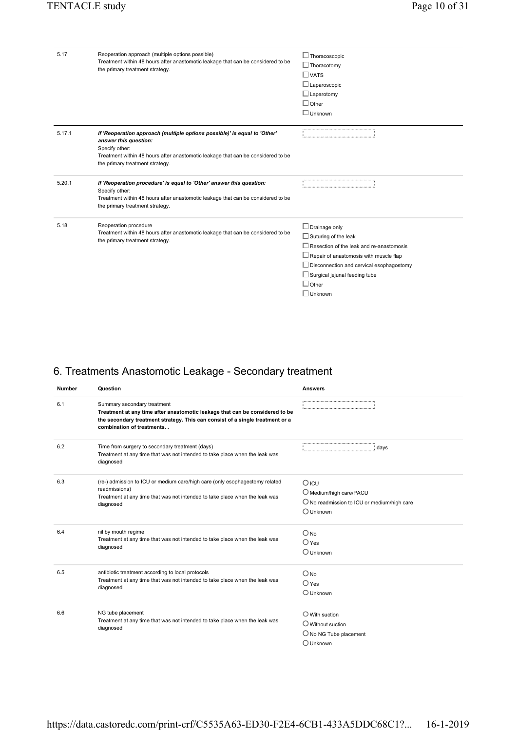| 5.17   | Reoperation approach (multiple options possible)<br>Treatment within 48 hours after anastomotic leakage that can be considered to be<br>the primary treatment strategy.                                                                     | $\Box$ Thoracoscopic<br>$\Box$ Thoracotomy<br>$\Box$ vats                                                                                                                                                                                                                            |
|--------|---------------------------------------------------------------------------------------------------------------------------------------------------------------------------------------------------------------------------------------------|--------------------------------------------------------------------------------------------------------------------------------------------------------------------------------------------------------------------------------------------------------------------------------------|
|        |                                                                                                                                                                                                                                             | $\Box$ Laparoscopic<br>$\Box$ Laparotomy<br>$\Box$ Other<br>$\Box$ Unknown                                                                                                                                                                                                           |
| 5.17.1 | If 'Reoperation approach (multiple options possible)' is equal to 'Other'<br>answer this question:<br>Specify other:<br>Treatment within 48 hours after anastomotic leakage that can be considered to be<br>the primary treatment strategy. |                                                                                                                                                                                                                                                                                      |
| 5.20.1 | If 'Reoperation procedure' is equal to 'Other' answer this question:<br>Specify other:<br>Treatment within 48 hours after anastomotic leakage that can be considered to be<br>the primary treatment strategy.                               |                                                                                                                                                                                                                                                                                      |
| 5.18   | Reoperation procedure<br>Treatment within 48 hours after anastomotic leakage that can be considered to be<br>the primary treatment strategy.                                                                                                | $\Box$ Drainage only<br>$\Box$ Suturing of the leak<br>$\Box$ Resection of the leak and re-anastomosis<br>$\Box$ Repair of anastomosis with muscle flap<br>$\Box$ Disconnection and cervical esophagostomy<br>$\Box$ Surgical jejunal feeding tube<br>$\Box$ Other<br>$\Box$ Unknown |

## 6. Treatments Anastomotic Leakage - Secondary treatment

| <b>Number</b> | Question                                                                                                                                                                                                                  | <b>Answers</b>                                                                                                   |
|---------------|---------------------------------------------------------------------------------------------------------------------------------------------------------------------------------------------------------------------------|------------------------------------------------------------------------------------------------------------------|
| 6.1           | Summary secondary treatment<br>Treatment at any time after anastomotic leakage that can be considered to be<br>the secondary treatment strategy. This can consist of a single treatment or a<br>combination of treatments |                                                                                                                  |
| 6.2           | Time from surgery to secondary treatment (days)<br>Treatment at any time that was not intended to take place when the leak was<br>diagnosed                                                                               | : davs                                                                                                           |
| 6.3           | (re-) admission to ICU or medium care/high care (only esophagectomy related<br>readmissions)<br>Treatment at any time that was not intended to take place when the leak was<br>diagnosed                                  | $O$ ICU<br>O Medium/high care/PACU<br>$\bigcirc$ No readmission to ICU or medium/high care<br>$\bigcirc$ Unknown |
| 6.4           | nil by mouth regime<br>Treatment at any time that was not intended to take place when the leak was<br>diagnosed                                                                                                           | $O$ No<br>$O$ Yes<br>$\bigcirc$ Unknown                                                                          |
| 6.5           | antibiotic treatment according to local protocols<br>Treatment at any time that was not intended to take place when the leak was<br>diagnosed                                                                             | $O$ No<br>$\bigcirc$ Yes<br>$\bigcirc$ Unknown                                                                   |
| 6.6           | NG tube placement<br>Treatment at any time that was not intended to take place when the leak was<br>diagnosed                                                                                                             | $\bigcirc$ With suction<br>$\bigcirc$ Without suction<br>$\bigcirc$ No NG Tube placement<br>$\bigcirc$ Unknown   |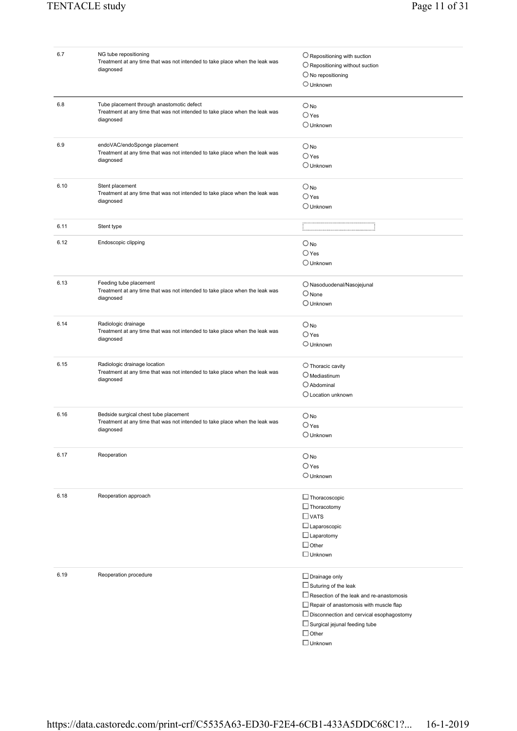| 6.7  | NG tube repositioning                                                       | $\bigcirc$ Repositioning with suction         |
|------|-----------------------------------------------------------------------------|-----------------------------------------------|
|      | Treatment at any time that was not intended to take place when the leak was |                                               |
|      | diagnosed                                                                   | $\bigcirc$ Repositioning without suction      |
|      |                                                                             | $\bigcirc$ No repositioning                   |
|      |                                                                             | $\bigcirc$ Unknown                            |
|      |                                                                             |                                               |
| 6.8  | Tube placement through anastomotic defect                                   |                                               |
|      | Treatment at any time that was not intended to take place when the leak was | $\bigcirc$ No                                 |
|      | diagnosed                                                                   | $O$ Yes                                       |
|      |                                                                             | $\bigcirc$ Unknown                            |
|      |                                                                             |                                               |
| 6.9  | endoVAC/endoSponge placement                                                | $\bigcirc$ No                                 |
|      | Treatment at any time that was not intended to take place when the leak was | $\bigcirc$ Yes                                |
|      | diagnosed                                                                   |                                               |
|      |                                                                             | $\bigcirc$ Unknown                            |
| 6.10 | Stent placement                                                             |                                               |
|      | Treatment at any time that was not intended to take place when the leak was | $O$ No                                        |
|      | diagnosed                                                                   | $\bigcirc$ Yes                                |
|      |                                                                             | $\bigcirc$ Unknown                            |
|      |                                                                             |                                               |
| 6.11 | Stent type                                                                  |                                               |
| 6.12 | Endoscopic clipping                                                         |                                               |
|      |                                                                             | $O_{NQ}$                                      |
|      |                                                                             | $\bigcirc$ Yes                                |
|      |                                                                             | $\bigcirc$ Unknown                            |
|      |                                                                             |                                               |
| 6.13 | Feeding tube placement                                                      | $\bigcirc$ Nasoduodenal/Nasojejunal           |
|      | Treatment at any time that was not intended to take place when the leak was | $\bigcirc$ None                               |
|      | diagnosed                                                                   | $\bigcirc$ Unknown                            |
|      |                                                                             |                                               |
| 6.14 | Radiologic drainage                                                         | $\bigcirc$ No                                 |
|      | Treatment at any time that was not intended to take place when the leak was |                                               |
|      | diagnosed                                                                   | $O$ Yes                                       |
|      |                                                                             | $\bigcirc$ Unknown                            |
|      |                                                                             |                                               |
| 6.15 | Radiologic drainage location                                                | $\bigcirc$ Thoracic cavity                    |
|      | Treatment at any time that was not intended to take place when the leak was | $O$ Mediastinum                               |
|      | diagnosed                                                                   |                                               |
|      |                                                                             | $\bigcirc$ Abdominal                          |
|      |                                                                             | O Location unknown                            |
|      |                                                                             |                                               |
| 6.16 | Bedside surgical chest tube placement                                       | $\bigcirc$ No                                 |
|      | Treatment at any time that was not intended to take place when the leak was | $\bigcirc$ Yes                                |
|      | diagnosed                                                                   | $\bigcirc$ Unknown                            |
|      |                                                                             |                                               |
| 6.17 | Reoperation                                                                 | $\bigcirc$ No                                 |
|      |                                                                             | $\bigcirc$ Yes                                |
|      |                                                                             |                                               |
|      |                                                                             | $\bigcirc$ Unknown                            |
|      |                                                                             |                                               |
| 6.18 | Reoperation approach                                                        | $\Box$ Thoracoscopic                          |
|      |                                                                             | $\Box$ Thoracotomy                            |
|      |                                                                             | $\Box$ VATS                                   |
|      |                                                                             |                                               |
|      |                                                                             | $\Box$ Laparoscopic                           |
|      |                                                                             | $\Box$ Laparotomy                             |
|      |                                                                             | $\Box$ Other                                  |
|      |                                                                             | $\Box$ Unknown                                |
|      |                                                                             |                                               |
| 6.19 | Reoperation procedure                                                       | $\Box$ Drainage only                          |
|      |                                                                             |                                               |
|      |                                                                             | $\Box$ Suturing of the leak                   |
|      |                                                                             | Resection of the leak and re-anastomosis      |
|      |                                                                             | $\Box$ Repair of anastomosis with muscle flap |
|      |                                                                             | Disconnection and cervical esophagostomy      |
|      |                                                                             | Surgical jejunal feeding tube                 |
|      |                                                                             | $\Box$ Other                                  |
|      |                                                                             |                                               |
|      |                                                                             | $\Box$ Unknown                                |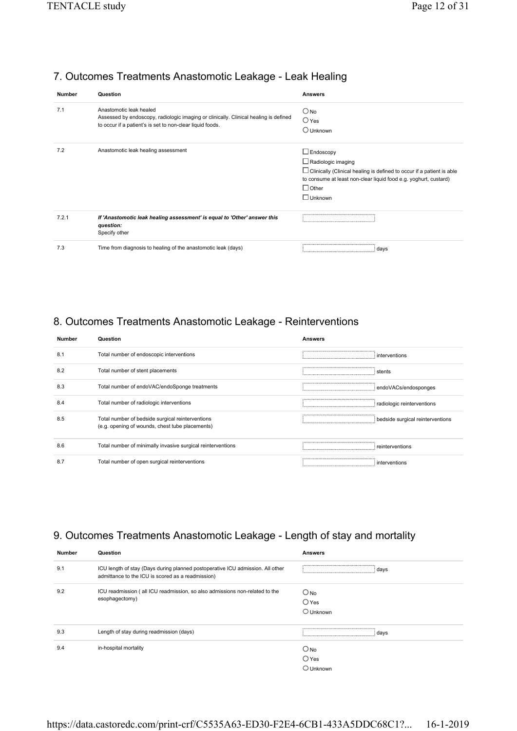#### 7. Outcomes Treatments Anastomotic Leakage - Leak Healing

| <b>Number</b> | Question                                                                                                                                                                     | <b>Answers</b>                                                                                                                                                                                                                      |
|---------------|------------------------------------------------------------------------------------------------------------------------------------------------------------------------------|-------------------------------------------------------------------------------------------------------------------------------------------------------------------------------------------------------------------------------------|
| 7.1           | Anastomotic leak healed<br>Assessed by endoscopy, radiologic imaging or clinically. Clinical healing is defined<br>to occur if a patient's is set to non-clear liquid foods. | $\bigcirc$ No<br>$O$ Yes<br>$\bigcirc$ Unknown                                                                                                                                                                                      |
| 7.2           | Anastomotic leak healing assessment                                                                                                                                          | $\Box$ Endoscopy<br>$\Box$ Radiologic imaging<br>$\Box$ Clinically (Clinical healing is defined to occur if a patient is able<br>to consume at least non-clear liquid food e.g. yoghurt, custard)<br>$\Box$ Other<br>$\Box$ Unknown |
| 7.2.1         | If 'Anastomotic leak healing assessment' is equal to 'Other' answer this<br>question:<br>Specify other                                                                       |                                                                                                                                                                                                                                     |
| 7.3           | Time from diagnosis to healing of the anastomotic leak (days)                                                                                                                | davs                                                                                                                                                                                                                                |

### 8. Outcomes Treatments Anastomotic Leakage - Reinterventions

| <b>Number</b> | Question                                                                                            | <b>Answers</b>                   |
|---------------|-----------------------------------------------------------------------------------------------------|----------------------------------|
| 8.1           | Total number of endoscopic interventions                                                            | interventions                    |
| 8.2           | Total number of stent placements                                                                    | stents                           |
| 8.3           | Total number of endoVAC/endoSponge treatments                                                       | : endoVACs/endosponges           |
| 8.4           | Total number of radiologic interventions                                                            | radiologic reinterventions       |
| 8.5           | Total number of bedside surgical reinterventions<br>(e.g. opening of wounds, chest tube placements) | bedside surgical reinterventions |
| 8.6           | Total number of minimally invasive surgical reinterventions                                         | reinterventions                  |
| 8.7           | Total number of open surgical reinterventions                                                       | interventions                    |

#### 9. Outcomes Treatments Anastomotic Leakage - Length of stay and mortality

| <b>Number</b> | Question                                                                                                                            | Answers            |
|---------------|-------------------------------------------------------------------------------------------------------------------------------------|--------------------|
| 9.1           | ICU length of stay (Days during planned postoperative ICU admission. All other<br>admittance to the ICU is scored as a readmission) | days               |
| 9.2           | ICU readmission (all ICU readmission, so also admissions non-related to the                                                         | $\bigcirc$ No      |
|               | esophagectomy)                                                                                                                      | $\bigcirc$ Yes     |
|               |                                                                                                                                     | $\bigcirc$ Unknown |
| 9.3           | Length of stay during readmission (days)                                                                                            | davs               |
| 9.4           | in-hospital mortality                                                                                                               | $\bigcirc$ No      |
|               |                                                                                                                                     | $\bigcirc$ Yes     |
|               |                                                                                                                                     | $\bigcirc$ Unknown |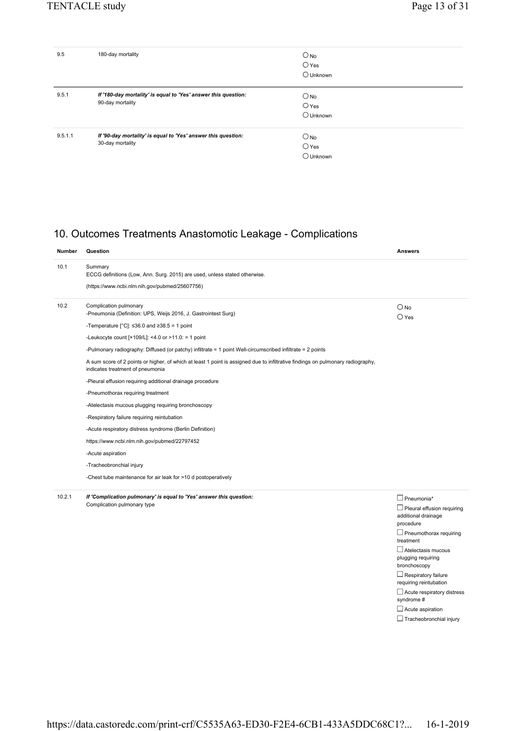treatment Atelectasis mucous plugging requiring bronchoscopy  $\Box$ Respiratory failure requiring reintubation  $\Box$  Acute respiratory distress

syndrome # Acute aspiration  $\Box$  Tracheobronchial injury

| 9.5     | 180-day mortality                                                                  | $O_{\text{No}}$<br>$\bigcirc$ Yes<br>$\bigcirc$ Unknown |
|---------|------------------------------------------------------------------------------------|---------------------------------------------------------|
| 9.5.1   | If '180-day mortality' is equal to 'Yes' answer this question:<br>90-day mortality | $\bigcirc$ No<br>$\bigcirc$ Yes<br>O Unknown            |
| 9.5.1.1 | If '90-day mortality' is equal to 'Yes' answer this question:<br>30-day mortality  | $O$ No<br>$\bigcirc$ Yes<br>$\bigcirc$ Unknown          |

#### 10. Outcomes Treatments Anastomotic Leakage - Complications

| <b>Number</b> | Question                                                                                                                                                                                                                                                                                                                                                                                                                                                                                                                                                                                                                                                                                                                                                                                                                                                                                                                                               | <b>Answers</b>                                                                                                              |
|---------------|--------------------------------------------------------------------------------------------------------------------------------------------------------------------------------------------------------------------------------------------------------------------------------------------------------------------------------------------------------------------------------------------------------------------------------------------------------------------------------------------------------------------------------------------------------------------------------------------------------------------------------------------------------------------------------------------------------------------------------------------------------------------------------------------------------------------------------------------------------------------------------------------------------------------------------------------------------|-----------------------------------------------------------------------------------------------------------------------------|
| 10.1          | Summary<br>ECCG definitions (Low, Ann. Surg. 2015) are used, unless stated otherwise.<br>(https://www.ncbi.nlm.nih.gov/pubmed/25607756)                                                                                                                                                                                                                                                                                                                                                                                                                                                                                                                                                                                                                                                                                                                                                                                                                |                                                                                                                             |
| 10.2          | Complication pulmonary<br>-Pneumonia (Definition: UPS, Weijs 2016, J. Gastrointest Surg)<br>-Temperature [ $^{\circ}$ C]: $\leq$ 36.0 and $\geq$ 38.5 = 1 point<br>-Leukocyte count [ $×109/L$ ]: <4.0 or >11.0: = 1 point<br>-Pulmonary radiography: Diffused (or patchy) infiltrate = 1 point Well-circumscribed infiltrate = 2 points<br>A sum score of 2 points or higher, of which at least 1 point is assigned due to infiltrative findings on pulmonary radiography,<br>indicates treatment of pneumonia<br>-Pleural effusion requiring additional drainage procedure<br>-Pneumothorax requiring treatment<br>-Atelectasis mucous plugging requiring bronchoscopy<br>-Respiratory failure requiring reintubation<br>-Acute respiratory distress syndrome (Berlin Definition)<br>https://www.ncbi.nlm.nih.gov/pubmed/22797452<br>-Acute aspiration<br>-Tracheobronchial injury<br>-Chest tube maintenance for air leak for >10 d postoperatively | $\bigcirc$ No<br>$\bigcirc$ Yes                                                                                             |
| 10.2.1        | If 'Complication pulmonary' is equal to 'Yes' answer this question:<br>Complication pulmonary type                                                                                                                                                                                                                                                                                                                                                                                                                                                                                                                                                                                                                                                                                                                                                                                                                                                     | $\Box$ Pneumonia*<br>$\Box$ Pleural effusion requiring<br>additional drainage<br>procedure<br>$\Box$ Pneumothorax requiring |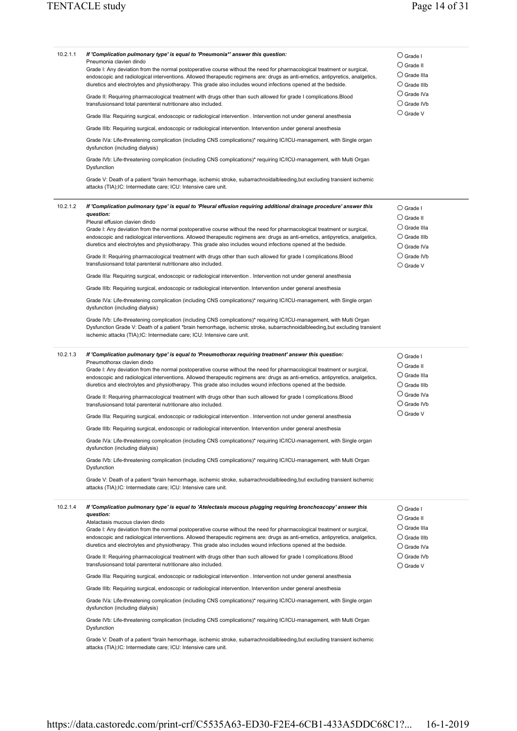| 10.2.1.1 | If 'Complication pulmonary type' is equal to 'Pneumonia*' answer this question:<br>Pneumonia clavien dindo<br>Grade I: Any deviation from the normal postoperative course without the need for pharmacological treatment or surgical,<br>endoscopic and radiological interventions. Allowed therapeutic regimens are: drugs as anti-emetics, antipyretics, analgetics,<br>diuretics and electrolytes and physiotherapy. This grade also includes wound infections opened at the bedside.<br>Grade II: Requiring pharmacological treatment with drugs other than such allowed for grade I complications.Blood<br>transfusionsand total parenteral nutritionare also included.<br>Grade IIIa: Requiring surgical, endoscopic or radiological intervention . Intervention not under general anesthesia<br>Grade IIIb: Requiring surgical, endoscopic or radiological intervention. Intervention under general anesthesia<br>Grade IVa: Life-threatening complication (including CNS complications)* requiring IC/ICU-management, with Single organ<br>dysfunction (including dialysis)<br>Grade IVb: Life-threatening complication (including CNS complications)* requiring IC/ICU-management, with Multi Organ<br>Dysfunction<br>Grade V: Death of a patient *brain hemorrhage, ischemic stroke, subarrachnoidalbleeding,but excluding transient ischemic<br>attacks (TIA);IC: Intermediate care; ICU: Intensive care unit.                                                       | $\bigcirc$ Grade I<br>$\bigcirc$ Grade II<br>$\bigcirc$ Grade IIIa<br>$\bigcirc$ Grade IIIb<br>$\bigcirc$ Grade IVa<br>$\bigcirc$ Grade IVb<br>$\bigcirc$ Grade V |
|----------|---------------------------------------------------------------------------------------------------------------------------------------------------------------------------------------------------------------------------------------------------------------------------------------------------------------------------------------------------------------------------------------------------------------------------------------------------------------------------------------------------------------------------------------------------------------------------------------------------------------------------------------------------------------------------------------------------------------------------------------------------------------------------------------------------------------------------------------------------------------------------------------------------------------------------------------------------------------------------------------------------------------------------------------------------------------------------------------------------------------------------------------------------------------------------------------------------------------------------------------------------------------------------------------------------------------------------------------------------------------------------------------------------------------------------------------------------------------------------------|-------------------------------------------------------------------------------------------------------------------------------------------------------------------|
| 10.2.1.2 | If 'Complication pulmonary type' is equal to 'Pleural effusion requiring additional drainage procedure' answer this<br>question:<br>Pleural effusion clavien dindo<br>Grade I: Any deviation from the normal postoperative course without the need for pharmacological treatment or surgical,<br>endoscopic and radiological interventions. Allowed therapeutic regimens are: drugs as anti-emetics, antipyretics, analgetics,<br>diuretics and electrolytes and physiotherapy. This grade also includes wound infections opened at the bedside.<br>Grade II: Requiring pharmacological treatment with drugs other than such allowed for grade I complications.Blood<br>transfusionsand total parenteral nutritionare also included.<br>Grade IIIa: Requiring surgical, endoscopic or radiological intervention . Intervention not under general anesthesia<br>Grade IIIb: Requiring surgical, endoscopic or radiological intervention. Intervention under general anesthesia<br>Grade IVa: Life-threatening complication (including CNS complications)* requiring IC/ICU-management, with Single organ<br>dysfunction (including dialysis)<br>Grade IVb: Life-threatening complication (including CNS complications)* requiring IC/ICU-management, with Multi Organ<br>Dysfunction Grade V: Death of a patient *brain hemorrhage, ischemic stroke, subarrachnoidalbleeding, but excluding transient<br>ischemic attacks (TIA);IC: Intermediate care; ICU: Intensive care unit. | $\bigcirc$ Grade I<br>$\bigcirc$ Grade II<br>$\bigcirc$ Grade IIIa<br>$\bigcirc$ Grade IIIb<br>$\bigcirc$ Grade IVa<br>$\bigcirc$ Grade IVb<br>$\bigcirc$ Grade V |
| 10.2.1.3 | If 'Complication pulmonary type' is equal to 'Pneumothorax requiring treatment' answer this question:<br>Pneumothorax clavien dindo<br>Grade I: Any deviation from the normal postoperative course without the need for pharmacological treatment or surgical,<br>endoscopic and radiological interventions. Allowed therapeutic regimens are: drugs as anti-emetics, antipyretics, analgetics,<br>diuretics and electrolytes and physiotherapy. This grade also includes wound infections opened at the bedside.<br>Grade II: Requiring pharmacological treatment with drugs other than such allowed for grade I complications.Blood<br>transfusionsand total parenteral nutritionare also included.<br>Grade IIIa: Requiring surgical, endoscopic or radiological intervention . Intervention not under general anesthesia<br>Grade IIIb: Requiring surgical, endoscopic or radiological intervention. Intervention under general anesthesia<br>Grade IVa: Life-threatening complication (including CNS complications)* requiring IC/ICU-management, with Single organ<br>dysfunction (including dialysis)<br>Grade IVb: Life-threatening complication (including CNS complications)* requiring IC/ICU-management, with Multi Organ<br>Dysfunction<br>Grade V: Death of a patient *brain hemorrhage, ischemic stroke, subarrachnoidalbleeding,but excluding transient ischemic<br>attacks (TIA); IC: Intermediate care; ICU: Intensive care unit.                             | $\bigcirc$ Grade I<br>$\bigcirc$ Grade II<br>$\bigcirc$ Grade IIIa<br>$\bigcirc$ Grade IIIb<br>$\bigcirc$ Grade IVa<br>$\bigcirc$ Grade IVb<br>$\bigcirc$ Grade V |
| 10.2.1.4 | If 'Complication pulmonary type' is equal to 'Atelectasis mucous plugging requiring bronchoscopy' answer this<br>question:<br>Atelactasis mucous clavien dindo<br>Grade I: Any deviation from the normal postoperative course without the need for pharmacological treatment or surgical,<br>endoscopic and radiological interventions. Allowed therapeutic regimens are: drugs as anti-emetics, antipyretics, analgetics,<br>diuretics and electrolytes and physiotherapy. This grade also includes wound infections opened at the bedside.<br>Grade II: Requiring pharmacological treatment with drugs other than such allowed for grade I complications.Blood<br>transfusionsand total parenteral nutritionare also included.<br>Grade IIIa: Requiring surgical, endoscopic or radiological intervention . Intervention not under general anesthesia<br>Grade IIIb: Requiring surgical, endoscopic or radiological intervention. Intervention under general anesthesia<br>Grade IVa: Life-threatening complication (including CNS complications)* requiring IC/ICU-management, with Single organ<br>dysfunction (including dialysis)<br>Grade IVb: Life-threatening complication (including CNS complications)* requiring IC/ICU-management, with Multi Organ<br>Dysfunction<br>Grade V: Death of a patient *brain hemorrhage, ischemic stroke, subarrachnoidalbleeding,but excluding transient ischemic<br>attacks (TIA);IC: Intermediate care; ICU: Intensive care unit.   | $\bigcirc$ Grade I<br>$\bigcirc$ Grade II<br>$\bigcirc$ Grade IIIa<br>$\bigcirc$ Grade IIIb<br>$\bigcirc$ Grade IVa<br>$\bigcirc$ Grade IVb<br>$\bigcirc$ Grade V |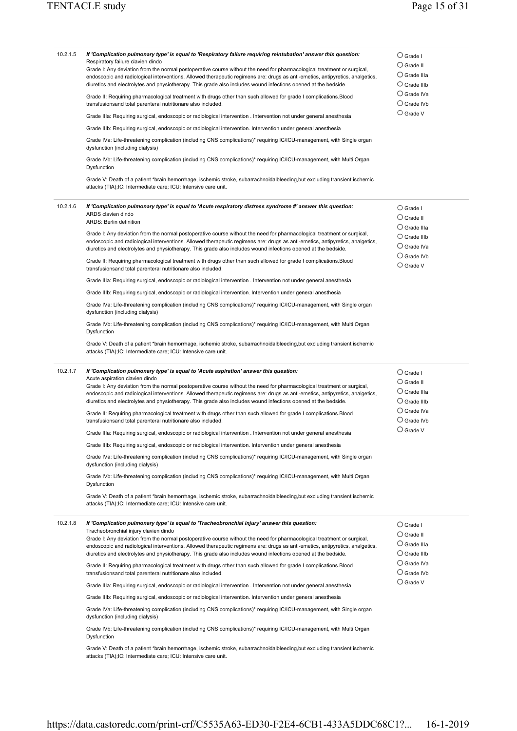| 10.2.1.5 | If 'Complication pulmonary type' is equal to 'Respiratory failure requiring reintubation' answer this question:<br>Respiratory failure clavien dindo<br>Grade I: Any deviation from the normal postoperative course without the need for pharmacological treatment or surgical,<br>endoscopic and radiological interventions. Allowed therapeutic regimens are: drugs as anti-emetics, antipyretics, analgetics,<br>diuretics and electrolytes and physiotherapy. This grade also includes wound infections opened at the bedside.<br>Grade II: Requiring pharmacological treatment with drugs other than such allowed for grade I complications. Blood<br>transfusionsand total parenteral nutritionare also included.<br>Grade IIIa: Requiring surgical, endoscopic or radiological intervention . Intervention not under general anesthesia<br>Grade IIIb: Requiring surgical, endoscopic or radiological intervention. Intervention under general anesthesia<br>Grade IVa: Life-threatening complication (including CNS complications)* requiring IC/ICU-management, with Single organ<br>dysfunction (including dialysis)<br>Grade IVb: Life-threatening complication (including CNS complications)* requiring IC/ICU-management, with Multi Organ<br>Dysfunction<br>Grade V: Death of a patient *brain hemorrhage, ischemic stroke, subarrachnoidalbleeding, but excluding transient ischemic<br>attacks (TIA);IC: Intermediate care; ICU: Intensive care unit.       | $\bigcirc$ Grade I<br>$\bigcirc$ Grade II<br>$\bigcirc$ Grade IIIa<br>$\bigcirc$ Grade IIIb<br>$\bigcirc$ Grade IVa<br>$\bigcirc$ Grade IVb<br>$\bigcirc$ Grade V |
|----------|-----------------------------------------------------------------------------------------------------------------------------------------------------------------------------------------------------------------------------------------------------------------------------------------------------------------------------------------------------------------------------------------------------------------------------------------------------------------------------------------------------------------------------------------------------------------------------------------------------------------------------------------------------------------------------------------------------------------------------------------------------------------------------------------------------------------------------------------------------------------------------------------------------------------------------------------------------------------------------------------------------------------------------------------------------------------------------------------------------------------------------------------------------------------------------------------------------------------------------------------------------------------------------------------------------------------------------------------------------------------------------------------------------------------------------------------------------------------------------|-------------------------------------------------------------------------------------------------------------------------------------------------------------------|
| 10.2.1.6 | If 'Complication pulmonary type' is equal to 'Acute respiratory distress syndrome #' answer this question:<br>ARDS clavien dindo<br>ARDS: Berlin definition<br>Grade I: Any deviation from the normal postoperative course without the need for pharmacological treatment or surgical,<br>endoscopic and radiological interventions. Allowed therapeutic regimens are: drugs as anti-emetics, antipyretics, analgetics,<br>diuretics and electrolytes and physiotherapy. This grade also includes wound infections opened at the bedside.<br>Grade II: Requiring pharmacological treatment with drugs other than such allowed for grade I complications.Blood<br>transfusionsand total parenteral nutritionare also included.<br>Grade IIIa: Requiring surgical, endoscopic or radiological intervention . Intervention not under general anesthesia<br>Grade IIIb: Requiring surgical, endoscopic or radiological intervention. Intervention under general anesthesia<br>Grade IVa: Life-threatening complication (including CNS complications)* requiring IC/ICU-management, with Single organ<br>dysfunction (including dialysis)<br>Grade IVb: Life-threatening complication (including CNS complications)* requiring IC/ICU-management, with Multi Organ<br>Dysfunction<br>Grade V: Death of a patient *brain hemorrhage, ischemic stroke, subarrachnoidalbleeding, but excluding transient ischemic<br>attacks (TIA);IC: Intermediate care; ICU: Intensive care unit. | $\bigcirc$ Grade I<br>$\bigcirc$ Grade II<br>$\bigcirc$ Grade IIIa<br>$\bigcirc$ Grade IIIb<br>$\bigcirc$ Grade IVa<br>$\bigcirc$ Grade IVb<br>$\bigcirc$ Grade V |
| 10.2.1.7 | If 'Complication pulmonary type' is equal to 'Acute aspiration' answer this question:<br>Acute aspiration clavien dindo<br>Grade I: Any deviation from the normal postoperative course without the need for pharmacological treatment or surgical,<br>endoscopic and radiological interventions. Allowed therapeutic regimens are: drugs as anti-emetics, antipyretics, analgetics,<br>diuretics and electrolytes and physiotherapy. This grade also includes wound infections opened at the bedside.<br>Grade II: Requiring pharmacological treatment with drugs other than such allowed for grade I complications.Blood<br>transfusionsand total parenteral nutritionare also included.<br>Grade IIIa: Requiring surgical, endoscopic or radiological intervention . Intervention not under general anesthesia<br>Grade IIIb: Requiring surgical, endoscopic or radiological intervention. Intervention under general anesthesia<br>Grade IVa: Life-threatening complication (including CNS complications)* requiring IC/ICU-management, with Single organ<br>dysfunction (including dialysis)<br>Grade IVb: Life-threatening complication (including CNS complications)* requiring IC/ICU-management, with Multi Organ<br>Dysfunction<br>Grade V: Death of a patient *brain hemorrhage, ischemic stroke, subarrachnoidalbleeding, but excluding transient ischemic<br>attacks (TIA); IC: Intermediate care; ICU: Intensive care unit.                                    | $\bigcirc$ Grade I<br>$\bigcirc$ Grade II<br>$\cup$ Grade IIIa<br>$\bigcirc$ Grade IIIb<br>$\bigcirc$ Grade IVa<br>$\bigcirc$ Grade IVb<br>$\bigcirc$ Grade V     |
| 10.2.1.8 | If 'Complication pulmonary type' is equal to 'Tracheobronchial injury' answer this question:<br>Tracheobronchial injury clavien dindo<br>Grade I: Any deviation from the normal postoperative course without the need for pharmacological treatment or surgical,<br>endoscopic and radiological interventions. Allowed therapeutic regimens are: drugs as anti-emetics, antipyretics, analgetics,<br>diuretics and electrolytes and physiotherapy. This grade also includes wound infections opened at the bedside.<br>Grade II: Requiring pharmacological treatment with drugs other than such allowed for grade I complications.Blood<br>transfusionsand total parenteral nutritionare also included.<br>Grade IIIa: Requiring surgical, endoscopic or radiological intervention . Intervention not under general anesthesia<br>Grade IIIb: Requiring surgical, endoscopic or radiological intervention. Intervention under general anesthesia<br>Grade IVa: Life-threatening complication (including CNS complications)* requiring IC/ICU-management, with Single organ<br>dysfunction (including dialysis)<br>Grade IVb: Life-threatening complication (including CNS complications)* requiring IC/ICU-management, with Multi Organ<br>Dysfunction<br>Grade V: Death of a patient *brain hemorrhage, ischemic stroke, subarrachnoidalbleeding, but excluding transient ischemic<br>attacks (TIA); IC: Intermediate care; ICU: Intensive care unit.                      | $\bigcirc$ Grade I<br>$\bigcirc$ Grade II<br>$\cup$ Grade IIIa<br>$\bigcirc$ Grade IIIb<br>$\bigcirc$ Grade IVa<br>$\bigcirc$ Grade IVb<br>$\bigcirc$ Grade V     |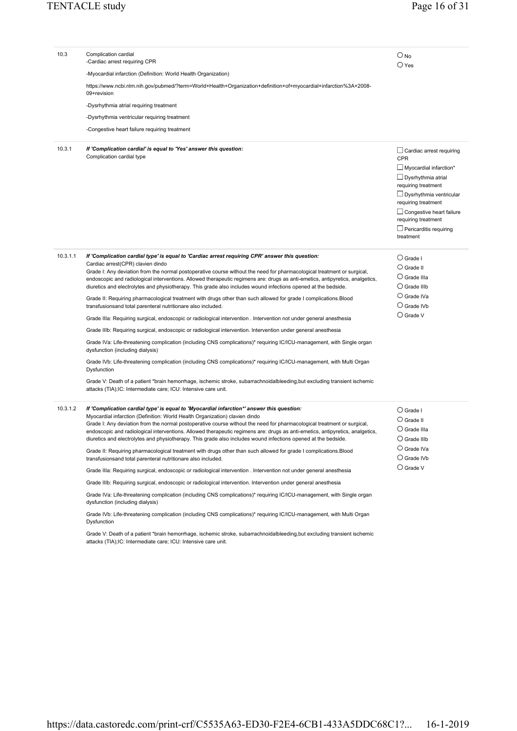| 10.3     | Complication cardial<br>-Cardiac arrest requiring CPR                                                                                                                                                                                                                                                                                                                                                                                                                                                                                                  | $\bigcirc$ No<br>$\bigcirc$ Yes                                                                                                                                                                                                                                                                     |
|----------|--------------------------------------------------------------------------------------------------------------------------------------------------------------------------------------------------------------------------------------------------------------------------------------------------------------------------------------------------------------------------------------------------------------------------------------------------------------------------------------------------------------------------------------------------------|-----------------------------------------------------------------------------------------------------------------------------------------------------------------------------------------------------------------------------------------------------------------------------------------------------|
|          | -Myocardial infarction (Definition: World Health Organization)                                                                                                                                                                                                                                                                                                                                                                                                                                                                                         |                                                                                                                                                                                                                                                                                                     |
|          | https://www.ncbi.nlm.nih.gov/pubmed/?term=World+Health+Organization+definition+of+myocardial+infarction%3A+2008-<br>09+revision                                                                                                                                                                                                                                                                                                                                                                                                                        |                                                                                                                                                                                                                                                                                                     |
|          | -Dysrhythmia atrial requiring treatment                                                                                                                                                                                                                                                                                                                                                                                                                                                                                                                |                                                                                                                                                                                                                                                                                                     |
|          | -Dysrhythmia ventricular requiring treatment                                                                                                                                                                                                                                                                                                                                                                                                                                                                                                           |                                                                                                                                                                                                                                                                                                     |
|          | -Congestive heart failure requiring treatment                                                                                                                                                                                                                                                                                                                                                                                                                                                                                                          |                                                                                                                                                                                                                                                                                                     |
| 10.3.1   | If 'Complication cardial' is equal to 'Yes' answer this question:<br>Complication cardial type                                                                                                                                                                                                                                                                                                                                                                                                                                                         | $\Box$ Cardiac arrest requiring<br><b>CPR</b><br>$\Box$ Myocardial infarction*<br>$\Box$ Dysrhythmia atrial<br>requiring treatment<br>$\Box$ Dysrhythmia ventricular<br>requiring treatment<br>$\Box$ Congestive heart failure<br>requiring treatment<br>$\Box$ Pericarditis requiring<br>treatment |
| 10.3.1.1 | If 'Complication cardial type' is equal to 'Cardiac arrest requiring CPR' answer this question:<br>Cardiac arrest(CPR) clavien dindo<br>Grade I: Any deviation from the normal postoperative course without the need for pharmacological treatment or surgical,<br>endoscopic and radiological interventions. Allowed therapeutic regimens are: drugs as anti-emetics, antipyretics, analgetics,<br>diuretics and electrolytes and physiotherapy. This grade also includes wound infections opened at the bedside.                                     | $\bigcirc$ Grade I<br>$\bigcirc$ Grade II<br>$\bigcirc$ Grade IIIa<br>$\bigcirc$ Grade IIIb                                                                                                                                                                                                         |
|          | Grade II: Requiring pharmacological treatment with drugs other than such allowed for grade I complications.Blood<br>transfusionsand total parenteral nutritionare also included.                                                                                                                                                                                                                                                                                                                                                                       | $\bigcirc$ Grade IVa<br>$\bigcirc$ Grade IVb                                                                                                                                                                                                                                                        |
|          | Grade IIIa: Requiring surgical, endoscopic or radiological intervention . Intervention not under general anesthesia                                                                                                                                                                                                                                                                                                                                                                                                                                    | $\bigcirc$ Grade V                                                                                                                                                                                                                                                                                  |
|          | Grade IIIb: Requiring surgical, endoscopic or radiological intervention. Intervention under general anesthesia                                                                                                                                                                                                                                                                                                                                                                                                                                         |                                                                                                                                                                                                                                                                                                     |
|          | Grade IVa: Life-threatening complication (including CNS complications)* requiring IC/ICU-management, with Single organ<br>dysfunction (including dialysis)                                                                                                                                                                                                                                                                                                                                                                                             |                                                                                                                                                                                                                                                                                                     |
|          | Grade IVb: Life-threatening complication (including CNS complications)* requiring IC/ICU-management, with Multi Organ<br>Dysfunction                                                                                                                                                                                                                                                                                                                                                                                                                   |                                                                                                                                                                                                                                                                                                     |
|          | Grade V: Death of a patient *brain hemorrhage, ischemic stroke, subarrachnoidalbleeding,but excluding transient ischemic<br>attacks (TIA); IC: Intermediate care; ICU: Intensive care unit.                                                                                                                                                                                                                                                                                                                                                            |                                                                                                                                                                                                                                                                                                     |
| 10.3.1.2 | If 'Complication cardial type' is equal to 'Myocardial infarction*' answer this question:<br>Myocardial infarction (Definition: World Health Organization) clavien dindo<br>Grade I: Any deviation from the normal postoperative course without the need for pharmacological treatment or surgical,<br>endoscopic and radiological interventions. Allowed therapeutic regimens are: drugs as anti-emetics, antipyretics, analgetics,<br>diuretics and electrolytes and physiotherapy. This grade also includes wound infections opened at the bedside. | $\bigcirc$ Grade I<br>$\bigcirc$ Grade II<br>$\cup$ Grade IIIa<br>$\cup$ Grade IIIb                                                                                                                                                                                                                 |
|          | Grade II: Requiring pharmacological treatment with drugs other than such allowed for grade I complications.Blood<br>transfusionsand total parenteral nutritionare also included.                                                                                                                                                                                                                                                                                                                                                                       | $\bigcirc$ Grade IVa<br>$\bigcirc$ Grade IVb                                                                                                                                                                                                                                                        |
|          | Grade IIIa: Requiring surgical, endoscopic or radiological intervention . Intervention not under general anesthesia                                                                                                                                                                                                                                                                                                                                                                                                                                    | $\bigcirc$ Grade V                                                                                                                                                                                                                                                                                  |
|          | Grade IIIb: Requiring surgical, endoscopic or radiological intervention. Intervention under general anesthesia                                                                                                                                                                                                                                                                                                                                                                                                                                         |                                                                                                                                                                                                                                                                                                     |
|          | Grade IVa: Life-threatening complication (including CNS complications)* requiring IC/ICU-management, with Single organ<br>dysfunction (including dialysis)                                                                                                                                                                                                                                                                                                                                                                                             |                                                                                                                                                                                                                                                                                                     |
|          | Grade IVb: Life-threatening complication (including CNS complications)* requiring IC/ICU-management, with Multi Organ<br>Dysfunction                                                                                                                                                                                                                                                                                                                                                                                                                   |                                                                                                                                                                                                                                                                                                     |
|          | Grade V: Death of a patient *brain hemorrhage, ischemic stroke, subarrachnoidalbleeding, but excluding transient ischemic<br>attacks (TIA); IC: Intermediate care; ICU: Intensive care unit.                                                                                                                                                                                                                                                                                                                                                           |                                                                                                                                                                                                                                                                                                     |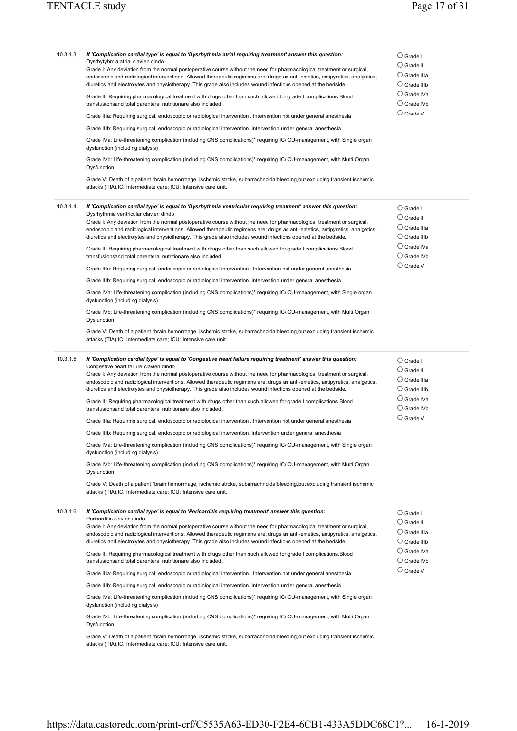| 10.3.1.3 | If 'Complication cardial type' is equal to 'Dysrhythmia atrial requiring treatment' answer this question:<br>Dysrhytyhmia atrial clavien dindo<br>Grade I: Any deviation from the normal postoperative course without the need for pharmacological treatment or surgical,<br>endoscopic and radiological interventions. Allowed therapeutic regimens are: drugs as anti-emetics, antipyretics, analgetics,<br>diuretics and electrolytes and physiotherapy. This grade also includes wound infections opened at the bedside.<br>Grade II: Requiring pharmacological treatment with drugs other than such allowed for grade I complications. Blood<br>transfusionsand total parenteral nutritionare also included.<br>Grade IIIa: Requiring surgical, endoscopic or radiological intervention . Intervention not under general anesthesia<br>Grade IIIb: Requiring surgical, endoscopic or radiological intervention. Intervention under general anesthesia<br>Grade IVa: Life-threatening complication (including CNS complications)* requiring IC/ICU-management, with Single organ<br>dysfunction (including dialysis)<br>Grade IVb: Life-threatening complication (including CNS complications)* requiring IC/ICU-management, with Multi Organ<br>Dysfunction<br>Grade V: Death of a patient *brain hemorrhage, ischemic stroke, subarrachnoidalbleeding,but excluding transient ischemic<br>attacks (TIA); IC: Intermediate care; ICU: Intensive care unit.            | $\bigcirc$ Grade I<br>$\bigcirc$ Grade II<br>$\bigcirc$ Grade IIIa<br>$\bigcirc$ Grade IIIb<br>$\bigcirc$ Grade IVa<br>$\bigcirc$ Grade IVb<br>$\bigcirc$ Grade V |
|----------|----------------------------------------------------------------------------------------------------------------------------------------------------------------------------------------------------------------------------------------------------------------------------------------------------------------------------------------------------------------------------------------------------------------------------------------------------------------------------------------------------------------------------------------------------------------------------------------------------------------------------------------------------------------------------------------------------------------------------------------------------------------------------------------------------------------------------------------------------------------------------------------------------------------------------------------------------------------------------------------------------------------------------------------------------------------------------------------------------------------------------------------------------------------------------------------------------------------------------------------------------------------------------------------------------------------------------------------------------------------------------------------------------------------------------------------------------------------------------|-------------------------------------------------------------------------------------------------------------------------------------------------------------------|
| 10.3.1.4 | If 'Complication cardial type' is equal to 'Dysrhythmia ventricular requiring treatment' answer this question:<br>Dysrhythmia ventricular clavien dindo<br>Grade I: Any deviation from the normal postoperative course without the need for pharmacological treatment or surgical,<br>endoscopic and radiological interventions. Allowed therapeutic regimens are: drugs as anti-emetics, antipyretics, analgetics,<br>diuretics and electrolytes and physiotherapy. This grade also includes wound infections opened at the bedside.<br>Grade II: Requiring pharmacological treatment with drugs other than such allowed for grade I complications. Blood<br>transfusionsand total parenteral nutritionare also included.<br>Grade IIIa: Requiring surgical, endoscopic or radiological intervention . Intervention not under general anesthesia<br>Grade IIIb: Requiring surgical, endoscopic or radiological intervention. Intervention under general anesthesia<br>Grade IVa: Life-threatening complication (including CNS complications)* requiring IC/ICU-management, with Single organ<br>dysfunction (including dialysis)<br>Grade IVb: Life-threatening complication (including CNS complications)* requiring IC/ICU-management, with Multi Organ<br>Dysfunction<br>Grade V: Death of a patient *brain hemorrhage, ischemic stroke, subarrachnoidalbleeding, but excluding transient ischemic<br>attacks (TIA); IC: Intermediate care; ICU: Intensive care unit.  | $\bigcirc$ Grade I<br>$\bigcirc$ Grade II<br>$\bigcirc$ Grade IIIa<br>$\bigcirc$ Grade IIIb<br>$\bigcirc$ Grade IVa<br>$\bigcirc$ Grade IVb<br>$\bigcirc$ Grade V |
| 10.3.1.5 | If 'Complication cardial type' is equal to 'Congestive heart failure requiring treatment' answer this question:<br>Congestive heart failure clavien dindo<br>Grade I: Any deviation from the normal postoperative course without the need for pharmacological treatment or surgical,<br>endoscopic and radiological interventions. Allowed therapeutic regimens are: drugs as anti-emetics, antipyretics, analgetics,<br>diuretics and electrolytes and physiotherapy. This grade also includes wound infections opened at the bedside.<br>Grade II: Requiring pharmacological treatment with drugs other than such allowed for grade I complications. Blood<br>transfusionsand total parenteral nutritionare also included.<br>Grade IIIa: Requiring surgical, endoscopic or radiological intervention . Intervention not under general anesthesia<br>Grade IIIb: Requiring surgical, endoscopic or radiological intervention. Intervention under general anesthesia<br>Grade IVa: Life-threatening complication (including CNS complications)* requiring IC/ICU-management, with Single organ<br>dysfunction (including dialysis)<br>Grade IVb: Life-threatening complication (including CNS complications)* requiring IC/ICU-management, with Multi Organ<br>Dysfunction<br>Grade V: Death of a patient *brain hemorrhage, ischemic stroke, subarrachnoidalbleeding,but excluding transient ischemic<br>attacks (TIA); IC: Intermediate care; ICU: Intensive care unit. | $\bigcirc$ Grade I<br>$\bigcirc$ Grade II<br>$\bigcirc$ Grade IIIa<br>$\bigcirc$ Grade IIIb<br>$\bigcirc$ Grade IVa<br>$\bigcirc$ Grade IVb<br>$\bigcirc$ Grade V |
| 10.3.1.6 | If 'Complication cardial type' is equal to 'Pericarditis requiring treatment' answer this question:<br>Pericarditis clavien dindo<br>Grade I: Any deviation from the normal postoperative course without the need for pharmacological treatment or surgical,<br>endoscopic and radiological interventions. Allowed therapeutic regimens are: drugs as anti-emetics, antipyretics, analgetics,<br>diuretics and electrolytes and physiotherapy. This grade also includes wound infections opened at the bedside.<br>Grade II: Requiring pharmacological treatment with drugs other than such allowed for grade I complications. Blood<br>transfusionsand total parenteral nutritionare also included.<br>Grade IIIa: Requiring surgical, endoscopic or radiological intervention . Intervention not under general anesthesia<br>Grade IIIb: Requiring surgical, endoscopic or radiological intervention. Intervention under general anesthesia<br>Grade IVa: Life-threatening complication (including CNS complications)* requiring IC/ICU-management, with Single organ<br>dysfunction (including dialysis)<br>Grade IVb: Life-threatening complication (including CNS complications)* requiring IC/ICU-management, with Multi Organ<br>Dysfunction<br>Grade V: Death of a patient *brain hemorrhage, ischemic stroke, subarrachnoidalbleeding, but excluding transient ischemic<br>attacks (TIA); IC: Intermediate care; ICU: Intensive care unit.                        | $\bigcirc$ Grade I<br>$\bigcirc$ Grade II<br>$\bigcirc$ Grade IIIa<br>$\bigcirc$ Grade IIIb<br>$\bigcirc$ Grade IVa<br>$\bigcirc$ Grade IVb<br>$\bigcirc$ Grade V |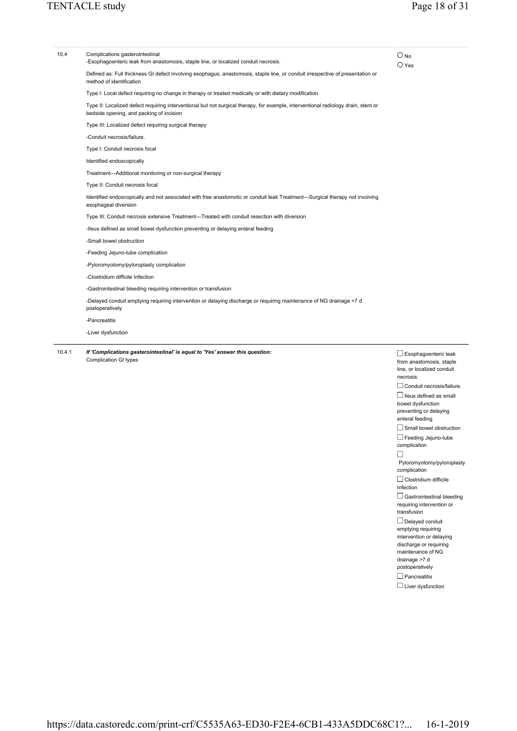| 1041 | If 'Complications gasterointestinal' is equal to 'Yes' answer this question:                                                                                                   | n.                              |
|------|--------------------------------------------------------------------------------------------------------------------------------------------------------------------------------|---------------------------------|
|      | -Liver dysfunction                                                                                                                                                             |                                 |
|      | -Pancreatitis                                                                                                                                                                  |                                 |
|      | postoperatively                                                                                                                                                                |                                 |
|      | -Delayed conduit emptying requiring intervention or delaying discharge or requiring maintenance of NG drainage >7 d                                                            |                                 |
|      | -Gastrointestinal bleeding requiring intervention or transfusion                                                                                                               |                                 |
|      | -Clostridium difficile Infection                                                                                                                                               |                                 |
|      | -Pyloromyotomy/pyloroplasty complication                                                                                                                                       |                                 |
|      | -Feeding Jejuno-tube complication                                                                                                                                              |                                 |
|      | -Small bowel obstruction                                                                                                                                                       |                                 |
|      | -Ileus defined as small bowel dysfunction preventing or delaying enteral feeding                                                                                               |                                 |
|      | Type III: Conduit necrosis extensive Treatment—Treated with conduit resection with diversion                                                                                   |                                 |
|      | Identified endoscopically and not associated with free anastomotic or conduit leak Treatment—Surgical therapy not involving<br>esophageal diversion                            |                                 |
|      | Type II: Conduit necrosis focal                                                                                                                                                |                                 |
|      | Treatment-Additional monitoring or non-surgical therapy                                                                                                                        |                                 |
|      | Identified endoscopically                                                                                                                                                      |                                 |
|      | Type I: Conduit necrosis focal                                                                                                                                                 |                                 |
|      | -Conduit necrosis/failure.                                                                                                                                                     |                                 |
|      | Type III: Localized defect requiring surgical therapy                                                                                                                          |                                 |
|      | Type II: Localized defect requiring interventional but not surgical therapy, for example, interventional radiology drain, stent or<br>bedside opening, and packing of incision |                                 |
|      | Type I: Local defect requiring no change in therapy or treated medically or with dietary modification                                                                          |                                 |
|      | Defined as: Full thickness GI defect involving esophagus, anastomosis, staple line, or conduit irrespective of presentation or<br>method of identification                     |                                 |
| 10.4 | Complications gasterointestinal<br>-Esophagoenteric leak from anastomosis, staple line, or localized conduit necrosis.                                                         | $\bigcirc$ No<br>$\bigcirc$ Yes |
|      |                                                                                                                                                                                |                                 |

10.4.1 *If 'Complications gasterointestinal' is equal to 'Yes' answer this question:*  Complication GI types

 $\square$  Esophagoenteric leak from anastomosis, staple line, or localized conduit necrosis.  $\Box$  Conduit necrosis/failure.  $\Box$  Ileus defined as small bowel dysfunction preventing or delaying enteral feeding  $\Box$  Small bowel obstruction  $\Box$  Feeding Jejuno-tube complication  $\Box$  Pyloromyotomy/pyloroplasty complication  $\Box$  Clostridium difficile Infection  $\Box$  Gastrointestinal bleeding requiring intervention or transfusion Delayed conduit emptying requiring intervention or delaying discharge or requiring maintenance of NG drainage >7 d postoperatively  $\Box$  Pancreatitis  $\square$  Liver dysfunction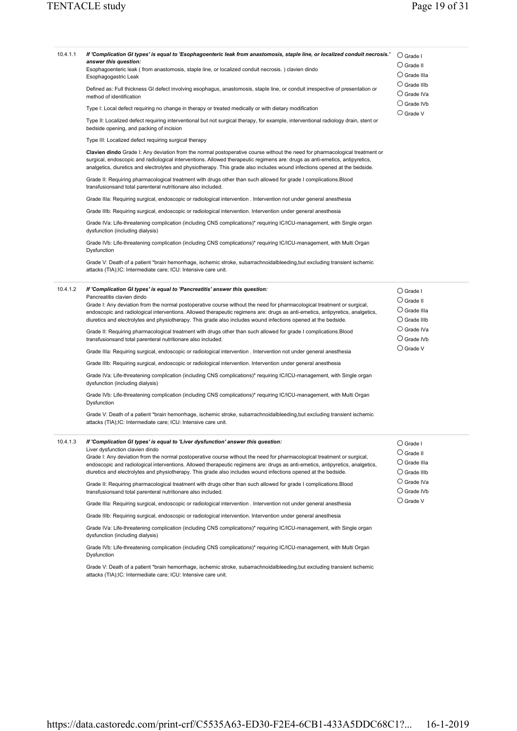| 10.4.1.1 | If 'Complication GI types' is equal to 'Esophagoenteric leak from anastomosis, staple line, or localized conduit necrosis.'<br>answer this question:<br>Esophagoenteric leak (from anastomosis, staple line, or localized conduit necrosis.) clavien dindo<br>Esophagogastric Leak<br>Defined as: Full thickness GI defect involving esophagus, anastomosis, staple line, or conduit irrespective of presentation or<br>method of identification<br>Type I: Local defect requiring no change in therapy or treated medically or with dietary modification<br>Type II: Localized defect requiring interventional but not surgical therapy, for example, interventional radiology drain, stent or<br>bedside opening, and packing of incision<br>Type III: Localized defect requiring surgical therapy<br>Clavien dindo Grade I: Any deviation from the normal postoperative course without the need for pharmacological treatment or<br>surgical, endoscopic and radiological interventions. Allowed therapeutic regimens are: drugs as anti-emetics, antipyretics,<br>analgetics, diuretics and electrolytes and physiotherapy. This grade also includes wound infections opened at the bedside.<br>Grade II: Requiring pharmacological treatment with drugs other than such allowed for grade I complications.Blood<br>transfusionsand total parenteral nutritionare also included.<br>Grade IIIa: Requiring surgical, endoscopic or radiological intervention . Intervention not under general anesthesia<br>Grade IIIb: Requiring surgical, endoscopic or radiological intervention. Intervention under general anesthesia<br>Grade IVa: Life-threatening complication (including CNS complications)* requiring IC/ICU-management, with Single organ | $\bigcirc$ Grade I<br>$\bigcirc$ Grade II<br>$\bigcirc$ Grade IIIa<br>$\bigcirc$ Grade IIIb<br>$\bigcirc$ Grade IVa<br>$\bigcirc$ Grade IVb<br>$\bigcirc$ Grade V |
|----------|---------------------------------------------------------------------------------------------------------------------------------------------------------------------------------------------------------------------------------------------------------------------------------------------------------------------------------------------------------------------------------------------------------------------------------------------------------------------------------------------------------------------------------------------------------------------------------------------------------------------------------------------------------------------------------------------------------------------------------------------------------------------------------------------------------------------------------------------------------------------------------------------------------------------------------------------------------------------------------------------------------------------------------------------------------------------------------------------------------------------------------------------------------------------------------------------------------------------------------------------------------------------------------------------------------------------------------------------------------------------------------------------------------------------------------------------------------------------------------------------------------------------------------------------------------------------------------------------------------------------------------------------------------------------------------------------------------------------------------------------------------|-------------------------------------------------------------------------------------------------------------------------------------------------------------------|
|          | dysfunction (including dialysis)<br>Grade IVb: Life-threatening complication (including CNS complications)* requiring IC/ICU-management, with Multi Organ<br>Dysfunction<br>Grade V: Death of a patient *brain hemorrhage, ischemic stroke, subarrachnoidalbleeding, but excluding transient ischemic                                                                                                                                                                                                                                                                                                                                                                                                                                                                                                                                                                                                                                                                                                                                                                                                                                                                                                                                                                                                                                                                                                                                                                                                                                                                                                                                                                                                                                                   |                                                                                                                                                                   |
|          | attacks (TIA);IC: Intermediate care; ICU: Intensive care unit.                                                                                                                                                                                                                                                                                                                                                                                                                                                                                                                                                                                                                                                                                                                                                                                                                                                                                                                                                                                                                                                                                                                                                                                                                                                                                                                                                                                                                                                                                                                                                                                                                                                                                          |                                                                                                                                                                   |
| 10.4.1.2 | If 'Complication GI types' is equal to 'Pancreatitis' answer this question:<br>Pancreatitis clavien dindo<br>Grade I: Any deviation from the normal postoperative course without the need for pharmacological treatment or surgical,<br>endoscopic and radiological interventions. Allowed therapeutic regimens are: drugs as anti-emetics, antipyretics, analgetics,<br>diuretics and electrolytes and physiotherapy. This grade also includes wound infections opened at the bedside.<br>Grade II: Requiring pharmacological treatment with drugs other than such allowed for grade I complications. Blood<br>transfusionsand total parenteral nutritionare also included.<br>Grade IIIa: Requiring surgical, endoscopic or radiological intervention . Intervention not under general anesthesia<br>Grade IIIb: Requiring surgical, endoscopic or radiological intervention. Intervention under general anesthesia<br>Grade IVa: Life-threatening complication (including CNS complications)* requiring IC/ICU-management, with Single organ<br>dysfunction (including dialysis)<br>Grade IVb: Life-threatening complication (including CNS complications)* requiring IC/ICU-management, with Multi Organ<br>Dysfunction<br>Grade V: Death of a patient *brain hemorrhage, ischemic stroke, subarrachnoidalbleeding, but excluding transient ischemic<br>attacks (TIA); IC: Intermediate care; ICU: Intensive care unit.                                                                                                                                                                                                                                                                                                                             | $\bigcirc$ Grade I<br>$\bigcirc$ Grade II<br>$\bigcirc$ Grade IIIa<br>$\bigcirc$ Grade IIIb<br>$\bigcirc$ Grade IVa<br>$\bigcirc$ Grade IVb<br>$\bigcirc$ Grade V |
| 10.4.1.3 | If 'Complication GI types' is equal to 'Liver dysfunction' answer this question:<br>Liver dysfunction clavien dindo<br>Grade I: Any deviation from the normal postoperative course without the need for pharmacological treatment or surgical,<br>endoscopic and radiological interventions. Allowed therapeutic regimens are: drugs as anti-emetics, antipyretics, analgetics,<br>diuretics and electrolytes and physiotherapy. This grade also includes wound infections opened at the bedside.<br>Grade II: Requiring pharmacological treatment with drugs other than such allowed for grade I complications. Blood<br>transfusionsand total parenteral nutritionare also included.<br>Grade IIIa: Requiring surgical, endoscopic or radiological intervention . Intervention not under general anesthesia<br>Grade IIIb: Requiring surgical, endoscopic or radiological intervention. Intervention under general anesthesia<br>Grade IVa: Life-threatening complication (including CNS complications)* requiring IC/ICU-management, with Single organ<br>dysfunction (including dialysis)<br>Grade IVb: Life-threatening complication (including CNS complications)* requiring IC/ICU-management, with Multi Organ<br>Dysfunction<br>Grade V: Death of a patient *brain hemorrhage, ischemic stroke, subarrachnoidalbleeding, but excluding transient ischemic<br>attacks (TIA); IC: Intermediate care; ICU: Intensive care unit.                                                                                                                                                                                                                                                                                                                   | $\bigcirc$ Grade I<br>$\bigcirc$ Grade II<br>$\bigcirc$ Grade IIIa<br>$\bigcirc$ Grade IIIb<br>$\bigcirc$ Grade IVa<br>$\bigcirc$ Grade IVb<br>$\bigcirc$ Grade V |

https://data.castoredc.com/print-crf/C5535A63-ED30-F2E4-6CB1-433A5DDC68C1?... 16-1-2019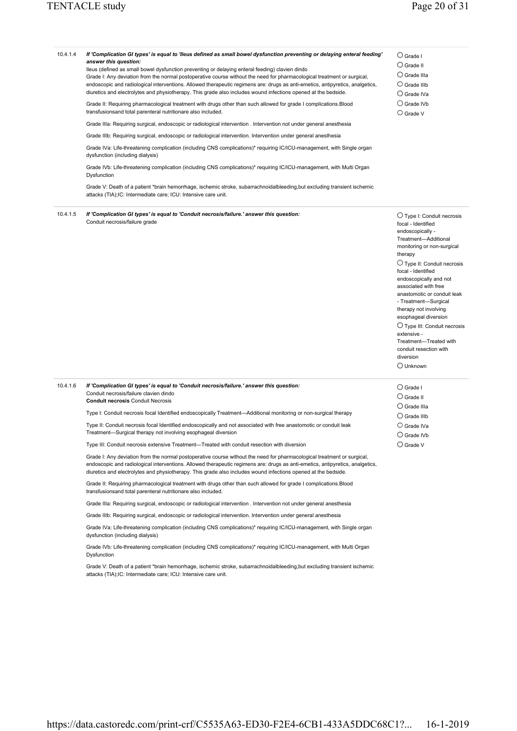| 10.4.1.4 | If 'Complication GI types' is equal to 'lleus defined as small bowel dysfunction preventing or delaying enteral feeding'<br>answer this question:<br>Ileus (defined as small bowel dysfunction preventing or delaying enteral feeding) clavien dindo<br>Grade I: Any deviation from the normal postoperative course without the need for pharmacological treatment or surgical,<br>endoscopic and radiological interventions. Allowed therapeutic regimens are: drugs as anti-emetics, antipyretics, analgetics,<br>diuretics and electrolytes and physiotherapy. This grade also includes wound infections opened at the bedside.<br>Grade II: Requiring pharmacological treatment with drugs other than such allowed for grade I complications.Blood<br>transfusionsand total parenteral nutritionare also included.<br>Grade IIIa: Requiring surgical, endoscopic or radiological intervention . Intervention not under general anesthesia<br>Grade IIIb: Requiring surgical, endoscopic or radiological intervention. Intervention under general anesthesia<br>Grade IVa: Life-threatening complication (including CNS complications)* requiring IC/ICU-management, with Single organ<br>dysfunction (including dialysis)<br>Grade IVb: Life-threatening complication (including CNS complications)* requiring IC/ICU-management, with Multi Organ<br>Dysfunction<br>Grade V: Death of a patient *brain hemorrhage, ischemic stroke, subarrachnoidalbleeding,but excluding transient ischemic<br>attacks (TIA);IC: Intermediate care; ICU: Intensive care unit. | $\bigcirc$ Grade I<br>$\bigcirc$ Grade II<br>$\bigcirc$ Grade IIIa<br>$\bigcirc$ Grade IIIb<br>$\bigcirc$ Grade IVa<br>$\bigcirc$ Grade IVb<br>$\bigcirc$ Grade V                                                                                                                                                                                                                                                                                                                                                     |
|----------|---------------------------------------------------------------------------------------------------------------------------------------------------------------------------------------------------------------------------------------------------------------------------------------------------------------------------------------------------------------------------------------------------------------------------------------------------------------------------------------------------------------------------------------------------------------------------------------------------------------------------------------------------------------------------------------------------------------------------------------------------------------------------------------------------------------------------------------------------------------------------------------------------------------------------------------------------------------------------------------------------------------------------------------------------------------------------------------------------------------------------------------------------------------------------------------------------------------------------------------------------------------------------------------------------------------------------------------------------------------------------------------------------------------------------------------------------------------------------------------------------------------------------------------------------------------------|-----------------------------------------------------------------------------------------------------------------------------------------------------------------------------------------------------------------------------------------------------------------------------------------------------------------------------------------------------------------------------------------------------------------------------------------------------------------------------------------------------------------------|
|          |                                                                                                                                                                                                                                                                                                                                                                                                                                                                                                                                                                                                                                                                                                                                                                                                                                                                                                                                                                                                                                                                                                                                                                                                                                                                                                                                                                                                                                                                                                                                                                     |                                                                                                                                                                                                                                                                                                                                                                                                                                                                                                                       |
| 10.4.1.5 | If 'Complication GI types' is equal to 'Conduit necrosis/failure.' answer this question:<br>Conduit necrosis/failure grade                                                                                                                                                                                                                                                                                                                                                                                                                                                                                                                                                                                                                                                                                                                                                                                                                                                                                                                                                                                                                                                                                                                                                                                                                                                                                                                                                                                                                                          | $\bigcirc$ Type I: Conduit necrosis<br>focal - Identified<br>endoscopically -<br>Treatment-Additional<br>monitoring or non-surgical<br>therapy<br>$\bigcirc$ Type II: Conduit necrosis<br>focal - Identified<br>endoscopically and not<br>associated with free<br>anastomotic or conduit leak<br>- Treatment-Surgical<br>therapy not involving<br>esophageal diversion<br>$\bigcirc$ Type III: Conduit necrosis<br>extensive -<br>Treatment-Treated with<br>conduit resection with<br>diversion<br>$\bigcirc$ Unknown |
| 10.4.1.6 | If 'Complication GI types' is equal to 'Conduit necrosis/failure.' answer this question:<br>Conduit necrosis/failure clavien dindo<br><b>Conduit necrosis Conduit Necrosis</b>                                                                                                                                                                                                                                                                                                                                                                                                                                                                                                                                                                                                                                                                                                                                                                                                                                                                                                                                                                                                                                                                                                                                                                                                                                                                                                                                                                                      | $\bigcirc$ Grade I<br>$\bigcirc$ Grade II<br>$\bigcirc$ Grade IIIa                                                                                                                                                                                                                                                                                                                                                                                                                                                    |
|          | Type I: Conduit necrosis focal Identified endoscopically Treatment—Additional monitoring or non-surgical therapy                                                                                                                                                                                                                                                                                                                                                                                                                                                                                                                                                                                                                                                                                                                                                                                                                                                                                                                                                                                                                                                                                                                                                                                                                                                                                                                                                                                                                                                    | $\bigcirc$ Grade IIIb                                                                                                                                                                                                                                                                                                                                                                                                                                                                                                 |
|          | Type II: Conduit necrosis focal Identified endoscopically and not associated with free anastomotic or conduit leak<br>Treatment-Surgical therapy not involving esophageal diversion                                                                                                                                                                                                                                                                                                                                                                                                                                                                                                                                                                                                                                                                                                                                                                                                                                                                                                                                                                                                                                                                                                                                                                                                                                                                                                                                                                                 | $\bigcirc$ Grade IVa<br>$\bigcirc$ Grade IVb                                                                                                                                                                                                                                                                                                                                                                                                                                                                          |
|          |                                                                                                                                                                                                                                                                                                                                                                                                                                                                                                                                                                                                                                                                                                                                                                                                                                                                                                                                                                                                                                                                                                                                                                                                                                                                                                                                                                                                                                                                                                                                                                     |                                                                                                                                                                                                                                                                                                                                                                                                                                                                                                                       |

Type III: Conduit necrosis extensive Treatment—Treated with conduit resection with diversion

Grade I: Any deviation from the normal postoperative course without the need for pharmacological treatment or surgical, endoscopic and radiological interventions. Allowed therapeutic regimens are: drugs as anti-emetics, antipyretics, analgetics, diuretics and electrolytes and physiotherapy. This grade also includes wound infections opened at the bedside.

Grade II: Requiring pharmacological treatment with drugs other than such allowed for grade I complications.Blood transfusionsand total parenteral nutritionare also included.

Grade IIIa: Requiring surgical, endoscopic or radiological intervention . Intervention not under general anesthesia

Grade IIIb: Requiring surgical, endoscopic or radiological intervention. Intervention under general anesthesia

Grade IVa: Life-threatening complication (including CNS complications)\* requiring IC/ICU-management, with Single organ dysfunction (including dialysis)

Grade IVb: Life-threatening complication (including CNS complications)\* requiring IC/ICU-management, with Multi Organ Dysfunction

Grade V: Death of a patient \*brain hemorrhage, ischemic stroke, subarrachnoidalbleeding,but excluding transient ischemic attacks (TIA);IC: Intermediate care; ICU: Intensive care unit.

Grade V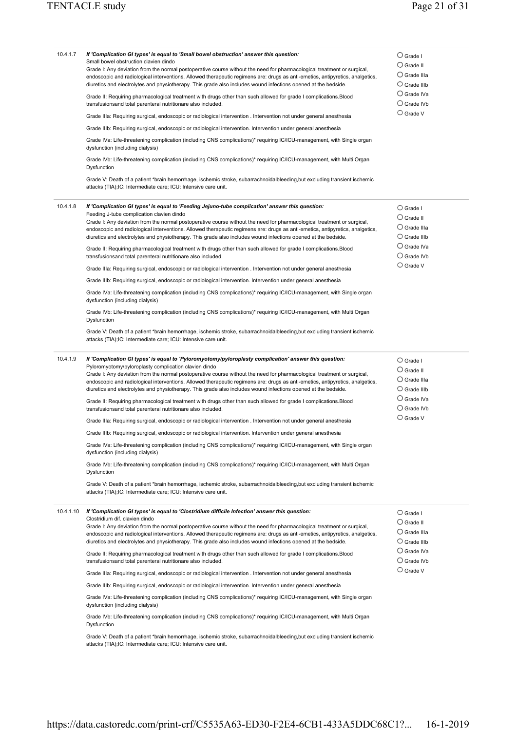| 10.4.1.7  | If 'Complication GI types' is equal to 'Small bowel obstruction' answer this question:<br>Small bowel obstruction clavien dindo<br>Grade I: Any deviation from the normal postoperative course without the need for pharmacological treatment or surgical,<br>endoscopic and radiological interventions. Allowed therapeutic regimens are: drugs as anti-emetics, antipyretics, analgetics,<br>diuretics and electrolytes and physiotherapy. This grade also includes wound infections opened at the bedside.<br>Grade II: Requiring pharmacological treatment with drugs other than such allowed for grade I complications.Blood<br>transfusionsand total parenteral nutritionare also included.<br>Grade IIIa: Requiring surgical, endoscopic or radiological intervention . Intervention not under general anesthesia<br>Grade IIIb: Requiring surgical, endoscopic or radiological intervention. Intervention under general anesthesia<br>Grade IVa: Life-threatening complication (including CNS complications)* requiring IC/ICU-management, with Single organ<br>dysfunction (including dialysis)<br>Grade IVb: Life-threatening complication (including CNS complications)* requiring IC/ICU-management, with Multi Organ<br>Dysfunction<br>Grade V: Death of a patient *brain hemorrhage, ischemic stroke, subarrachnoidalbleeding, but excluding transient ischemic<br>attacks (TIA); IC: Intermediate care; ICU: Intensive care unit.                                                                                                                                                                                                                                  | $\bigcirc$ Grade I<br>$\bigcirc$ Grade II<br>$\bigcirc$ Grade IIIa<br>$\bigcirc$ Grade IIIb<br>$\bigcirc$ Grade IVa<br>$\bigcirc$ Grade IVb<br>$\bigcirc$ Grade V |
|-----------|-----------------------------------------------------------------------------------------------------------------------------------------------------------------------------------------------------------------------------------------------------------------------------------------------------------------------------------------------------------------------------------------------------------------------------------------------------------------------------------------------------------------------------------------------------------------------------------------------------------------------------------------------------------------------------------------------------------------------------------------------------------------------------------------------------------------------------------------------------------------------------------------------------------------------------------------------------------------------------------------------------------------------------------------------------------------------------------------------------------------------------------------------------------------------------------------------------------------------------------------------------------------------------------------------------------------------------------------------------------------------------------------------------------------------------------------------------------------------------------------------------------------------------------------------------------------------------------------------------------------------------------------------------------------------------------|-------------------------------------------------------------------------------------------------------------------------------------------------------------------|
| 10.4.1.8  | If 'Complication GI types' is equal to 'Feeding Jejuno-tube complication' answer this question:<br>Feeding J-tube complication clavien dindo<br>Grade I: Any deviation from the normal postoperative course without the need for pharmacological treatment or surgical,<br>endoscopic and radiological interventions. Allowed therapeutic regimens are: drugs as anti-emetics, antipyretics, analgetics,<br>diuretics and electrolytes and physiotherapy. This grade also includes wound infections opened at the bedside.<br>Grade II: Requiring pharmacological treatment with drugs other than such allowed for grade I complications. Blood<br>transfusionsand total parenteral nutritionare also included.<br>Grade IIIa: Requiring surgical, endoscopic or radiological intervention . Intervention not under general anesthesia<br>Grade IIIb: Requiring surgical, endoscopic or radiological intervention. Intervention under general anesthesia<br>Grade IVa: Life-threatening complication (including CNS complications)* requiring IC/ICU-management, with Single organ<br>dysfunction (including dialysis)<br>Grade IVb: Life-threatening complication (including CNS complications)* requiring IC/ICU-management, with Multi Organ<br>Dysfunction                                                                                                                                                                                                                                                                                                                                                                                                                    | $\bigcirc$ Grade I<br>$\bigcirc$ Grade II<br>$\bigcirc$ Grade IIIa<br>$\bigcirc$ Grade IIIb<br>$\bigcirc$ Grade IVa<br>$\bigcirc$ Grade IVb<br>$\bigcirc$ Grade V |
| 10.4.1.9  | Grade V: Death of a patient *brain hemorrhage, ischemic stroke, subarrachnoidalbleeding, but excluding transient ischemic<br>attacks (TIA); IC: Intermediate care; ICU: Intensive care unit.<br>If 'Complication GI types' is equal to 'Pyloromyotomy/pyloroplasty complication' answer this question:<br>Pyloromyotomy/pyloroplasty complication clavien dindo<br>Grade I: Any deviation from the normal postoperative course without the need for pharmacological treatment or surgical,<br>endoscopic and radiological interventions. Allowed therapeutic regimens are: drugs as anti-emetics, antipyretics, analgetics,<br>diuretics and electrolytes and physiotherapy. This grade also includes wound infections opened at the bedside.<br>Grade II: Requiring pharmacological treatment with drugs other than such allowed for grade I complications. Blood<br>transfusionsand total parenteral nutritionare also included.<br>Grade IIIa: Requiring surgical, endoscopic or radiological intervention . Intervention not under general anesthesia<br>Grade IIIb: Requiring surgical, endoscopic or radiological intervention. Intervention under general anesthesia<br>Grade IVa: Life-threatening complication (including CNS complications)* requiring IC/ICU-management, with Single organ<br>dysfunction (including dialysis)<br>Grade IVb: Life-threatening complication (including CNS complications)* requiring IC/ICU-management, with Multi Organ<br>Dysfunction<br>Grade V: Death of a patient *brain hemorrhage, ischemic stroke, subarrachnoidalbleeding, but excluding transient ischemic<br>attacks (TIA); IC: Intermediate care; ICU: Intensive care unit. | $\bigcirc$ Grade I<br>$\bigcirc$ Grade II<br>$\bigcirc$ Grade IIIa<br>$\bigcirc$ Grade IIIb<br>$\bigcirc$ Grade IVa<br>$\bigcirc$ Grade IVb<br>$\bigcirc$ Grade V |
| 10.4.1.10 | If 'Complication GI types' is equal to 'Clostridium difficile Infection' answer this question:<br>Clostridium dif. clavien dindo<br>Grade I: Any deviation from the normal postoperative course without the need for pharmacological treatment or surgical,<br>endoscopic and radiological interventions. Allowed therapeutic regimens are: drugs as anti-emetics, antipyretics, analgetics,<br>diuretics and electrolytes and physiotherapy. This grade also includes wound infections opened at the bedside.<br>Grade II: Requiring pharmacological treatment with drugs other than such allowed for grade I complications. Blood<br>transfusionsand total parenteral nutritionare also included.<br>Grade IIIa: Requiring surgical, endoscopic or radiological intervention . Intervention not under general anesthesia<br>Grade IIIb: Requiring surgical, endoscopic or radiological intervention. Intervention under general anesthesia<br>Grade IVa: Life-threatening complication (including CNS complications)* requiring IC/ICU-management, with Single organ<br>dysfunction (including dialysis)<br>Grade IVb: Life-threatening complication (including CNS complications)* requiring IC/ICU-management, with Multi Organ<br>Dysfunction                                                                                                                                                                                                                                                                                                                                                                                                                                | $\bigcirc$ Grade I<br>$\bigcirc$ Grade II<br>$\bigcirc$ Grade IIIa<br>$\bigcirc$ Grade IIIb<br>$\cup$ Grade IVa<br>$\bigcirc$ Grade IVb<br>$\bigcirc$ Grade V     |

Grade V: Death of a patient \*brain hemorrhage, ischemic stroke, subarrachnoidalbleeding,but excluding transient ischemic attacks (TIA);IC: Intermediate care; ICU: Intensive care unit.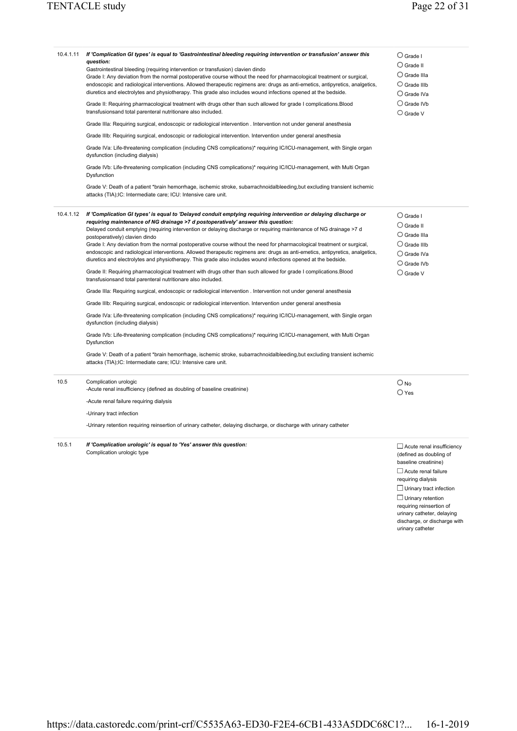| 10.4.1.11 | If 'Complication GI types' is equal to 'Gastrointestinal bleeding requiring intervention or transfusion' answer this<br>question:<br>Gastrointestinal bleeding (requiring intervention or transfusion) clavien dindo<br>Grade I: Any deviation from the normal postoperative course without the need for pharmacological treatment or surgical,<br>endoscopic and radiological interventions. Allowed therapeutic regimens are: drugs as anti-emetics, antipyretics, analgetics,<br>diuretics and electrolytes and physiotherapy. This grade also includes wound infections opened at the bedside.<br>Grade II: Requiring pharmacological treatment with drugs other than such allowed for grade I complications. Blood<br>transfusionsand total parenteral nutritionare also included.<br>Grade IIIa: Requiring surgical, endoscopic or radiological intervention . Intervention not under general anesthesia<br>Grade IIIb: Requiring surgical, endoscopic or radiological intervention. Intervention under general anesthesia<br>Grade IVa: Life-threatening complication (including CNS complications)* requiring IC/ICU-management, with Single organ<br>dysfunction (including dialysis)<br>Grade IVb: Life-threatening complication (including CNS complications)* requiring IC/ICU-management, with Multi Organ<br>Dysfunction<br>Grade V: Death of a patient *brain hemorrhage, ischemic stroke, subarrachnoidalbleeding, but excluding transient ischemic<br>attacks (TIA);IC: Intermediate care; ICU: Intensive care unit.                                                                                                                                         | $\bigcirc$ Grade I<br>$\bigcirc$ Grade II<br>$\bigcirc$ Grade IIIa<br>$\bigcirc$ Grade IIIb<br>$\bigcirc$ Grade IVa<br>$\bigcirc$ Grade IVb<br>$\bigcirc$ Grade V         |
|-----------|-------------------------------------------------------------------------------------------------------------------------------------------------------------------------------------------------------------------------------------------------------------------------------------------------------------------------------------------------------------------------------------------------------------------------------------------------------------------------------------------------------------------------------------------------------------------------------------------------------------------------------------------------------------------------------------------------------------------------------------------------------------------------------------------------------------------------------------------------------------------------------------------------------------------------------------------------------------------------------------------------------------------------------------------------------------------------------------------------------------------------------------------------------------------------------------------------------------------------------------------------------------------------------------------------------------------------------------------------------------------------------------------------------------------------------------------------------------------------------------------------------------------------------------------------------------------------------------------------------------------------------------------------------------------------------|---------------------------------------------------------------------------------------------------------------------------------------------------------------------------|
| 10.4.1.12 | If 'Complication GI types' is equal to 'Delayed conduit emptying requiring intervention or delaying discharge or<br>requiring maintenance of NG drainage >7 d postoperatively' answer this question:<br>Delayed conduit emptying (requiring intervention or delaying discharge or requiring maintenance of NG drainage >7 d<br>postoperatively) clavien dindo<br>Grade I: Any deviation from the normal postoperative course without the need for pharmacological treatment or surgical,<br>endoscopic and radiological interventions. Allowed therapeutic regimens are: drugs as anti-emetics, antipyretics, analgetics,<br>diuretics and electrolytes and physiotherapy. This grade also includes wound infections opened at the bedside.<br>Grade II: Requiring pharmacological treatment with drugs other than such allowed for grade I complications.Blood<br>transfusionsand total parenteral nutritionare also included.<br>Grade IIIa: Requiring surgical, endoscopic or radiological intervention . Intervention not under general anesthesia<br>Grade IIIb: Requiring surgical, endoscopic or radiological intervention. Intervention under general anesthesia<br>Grade IVa: Life-threatening complication (including CNS complications)* requiring IC/ICU-management, with Single organ<br>dysfunction (including dialysis)<br>Grade IVb: Life-threatening complication (including CNS complications)* requiring IC/ICU-management, with Multi Organ<br>Dysfunction<br>Grade V: Death of a patient *brain hemorrhage, ischemic stroke, subarrachnoidalbleeding, but excluding transient ischemic<br>attacks (TIA);IC: Intermediate care; ICU: Intensive care unit. | $\bigcirc$ Grade I<br>$\bigcirc$ Grade II<br>$\bigcirc$ Grade IIIa<br>$\bigcirc$ Grade IIIb<br>$\bigcirc$ Grade IVa<br>$\bigcirc$ Grade IVb<br>$\bigcirc$ Grade V         |
| 10.5      | Complication urologic<br>-Acute renal insufficiency (defined as doubling of baseline creatinine)<br>-Acute renal failure requiring dialysis<br>-Urinary tract infection<br>-Urinary retention requiring reinsertion of urinary catheter, delaying discharge, or discharge with urinary catheter                                                                                                                                                                                                                                                                                                                                                                                                                                                                                                                                                                                                                                                                                                                                                                                                                                                                                                                                                                                                                                                                                                                                                                                                                                                                                                                                                                               | $\bigcirc$ No<br>$\bigcirc$ Yes                                                                                                                                           |
| 10.5.1    | If 'Complication urologic' is equal to 'Yes' answer this question:<br>Complication urologic type                                                                                                                                                                                                                                                                                                                                                                                                                                                                                                                                                                                                                                                                                                                                                                                                                                                                                                                                                                                                                                                                                                                                                                                                                                                                                                                                                                                                                                                                                                                                                                              | $\Box$ Acute renal insufficiency<br>(defined as doubling of<br>baseline creatinine)<br>$\Box$ Acute renal failure<br>requiring dialysis<br>$\Box$ Urinary tract infection |

Urinary retention requiring reinsertion of

urinary catheter, delaying discharge, or discharge with urinary catheter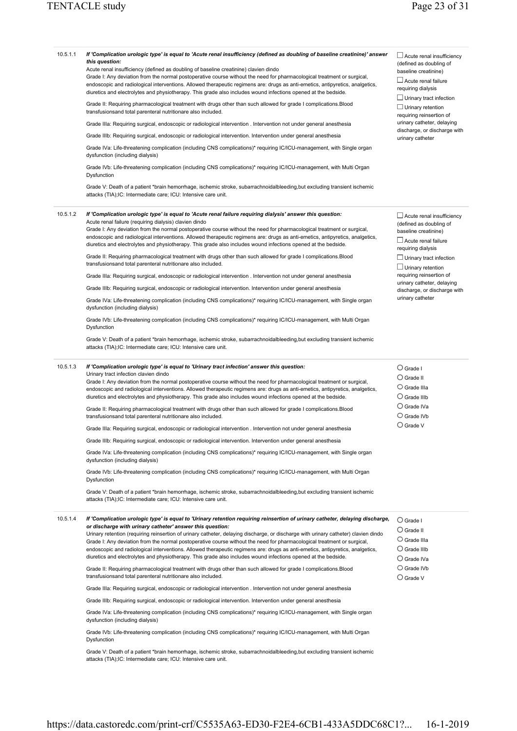#### 10.5.1.1 *If 'Complication urologic type' is equal to 'Acute renal insufficiency (defined as doubling of baseline creatinine)' answer this question:*  Acute renal insufficiency (defined as doubling of baseline creatinine) clavien dindo Grade I: Any deviation from the normal postoperative course without the need for pharmacological treatment or surgical, endoscopic and radiological interventions. Allowed therapeutic regimens are: drugs as anti-emetics, antipyretics, analgetics, diuretics and electrolytes and physiotherapy. This grade also includes wound infections opened at the bedside. Grade II: Requiring pharmacological treatment with drugs other than such allowed for grade I complications.Blood transfusionsand total parenteral nutritionare also included. Grade IIIa: Requiring surgical, endoscopic or radiological intervention . Intervention not under general anesthesia Grade IIIb: Requiring surgical, endoscopic or radiological intervention. Intervention under general anesthesia Grade IVa: Life-threatening complication (including CNS complications)\* requiring IC/ICU-management, with Single organ dysfunction (including dialysis) Grade IVb: Life-threatening complication (including CNS complications)\* requiring IC/ICU-management, with Multi Organ **Dysfunction** Grade V: Death of a patient \*brain hemorrhage, ischemic stroke, subarrachnoidalbleeding,but excluding transient ischemic attacks (TIA);IC: Intermediate care; ICU: Intensive care unit.  $\Box$  Acute renal insufficiency (defined as doubling of baseline creatinine)  $\square$  Acute renal failure requiring dialysis Urinary tract infection  $\Box$  Urinary retention requiring reinsertion of urinary catheter, delaying discharge, or discharge with urinary catheter 10.5.1.2 *If 'Complication urologic type' is equal to 'Acute renal failure requiring dialysis' answer this question:*  Acute renal failure (requiring dialysis) clavien dindo Grade I: Any deviation from the normal postoperative course without the need for pharmacological treatment or surgical, endoscopic and radiological interventions. Allowed therapeutic regimens are: drugs as anti-emetics, antipyretics, analgetics, diuretics and electrolytes and physiotherapy. This grade also includes wound infections opened at the bedside. Grade II: Requiring pharmacological treatment with drugs other than such allowed for grade I complications.Blood transfusionsand total parenteral nutritionare also included. Grade IIIa: Requiring surgical, endoscopic or radiological intervention . Intervention not under general anesthesia Grade IIIb: Requiring surgical, endoscopic or radiological intervention. Intervention under general anesthesia Grade IVa: Life-threatening complication (including CNS complications)\* requiring IC/ICU-management, with Single organ dysfunction (including dialysis) Grade IVb: Life-threatening complication (including CNS complications)\* requiring IC/ICU-management, with Multi Organ Dysfunction Grade V: Death of a patient \*brain hemorrhage, ischemic stroke, subarrachnoidalbleeding,but excluding transient ischemic attacks (TIA);IC: Intermediate care; ICU: Intensive care unit.  $\Box$  Acute renal insufficiency (defined as doubling of baseline creatinine)  $\Box$  Acute renal failure requiring dialysis  $\Box$  Urinary tract infection  $\Box$  Urinary retention requiring reinsertion of urinary catheter, delaying discharge, or discharge with urinary catheter 10.5.1.3 *If 'Complication urologic type' is equal to 'Urinary tract infection' answer this question:*  Urinary tract infection clavien dindo Grade I: Any deviation from the normal postoperative course without the need for pharmacological treatment or surgical, endoscopic and radiological interventions. Allowed therapeutic regimens are: drugs as anti-emetics, antipyretics, analgetics, diuretics and electrolytes and physiotherapy. This grade also includes wound infections opened at the bedside. Grade II: Requiring pharmacological treatment with drugs other than such allowed for grade I complications.Blood transfusionsand total parenteral nutritionare also included. Grade IIIa: Requiring surgical, endoscopic or radiological intervention . Intervention not under general anesthesia Grade IIIb: Requiring surgical, endoscopic or radiological intervention. Intervention under general anesthesia Grade IVa: Life-threatening complication (including CNS complications)\* requiring IC/ICU-management, with Single organ dysfunction (including dialysis) Grade IVb: Life-threatening complication (including CNS complications)\* requiring IC/ICU-management, with Multi Organ **Dysfunction** Grade V: Death of a patient \*brain hemorrhage, ischemic stroke, subarrachnoidalbleeding,but excluding transient ischemic attacks (TIA);IC: Intermediate care; ICU: Intensive care unit. Grade I Grade II Grade IIIa Grade IIIb Grade IVa Grade IVb Grade V 10.5.1.4 *If 'Complication urologic type' is equal to 'Urinary retention requiring reinsertion of urinary catheter, delaying discharge, or discharge with urinary catheter' answer this question:*  Urinary retention (requiring reinsertion of urinary catheter, delaying discharge, or discharge with urinary catheter) clavien dindo Grade I: Any deviation from the normal postoperative course without the need for pharmacological treatment or surgical, endoscopic and radiological interventions. Allowed therapeutic regimens are: drugs as anti-emetics, antipyretics, analgetics, diuretics and electrolytes and physiotherapy. This grade also includes wound infections opened at the bedside. Grade II: Requiring pharmacological treatment with drugs other than such allowed for grade I complications.Blood transfusionsand total parenteral nutritionare also included. Grade IIIa: Requiring surgical, endoscopic or radiological intervention . Intervention not under general anesthesia Grade IIIb: Requiring surgical, endoscopic or radiological intervention. Intervention under general anesthesia Grade IVa: Life-threatening complication (including CNS complications)\* requiring IC/ICU-management, with Single organ dysfunction (including dialysis) Grade IVb: Life-threatening complication (including CNS complications)\* requiring IC/ICU-management, with Multi Organ Dysfunction Grade V: Death of a patient \*brain hemorrhage, ischemic stroke, subarrachnoidalbleeding,but excluding transient ischemic attacks (TIA);IC: Intermediate care; ICU: Intensive care unit. Grade I Grade II Grade IIIa Grade IIIb Grade IVa  $\bigcirc$  Grade IVb Grade V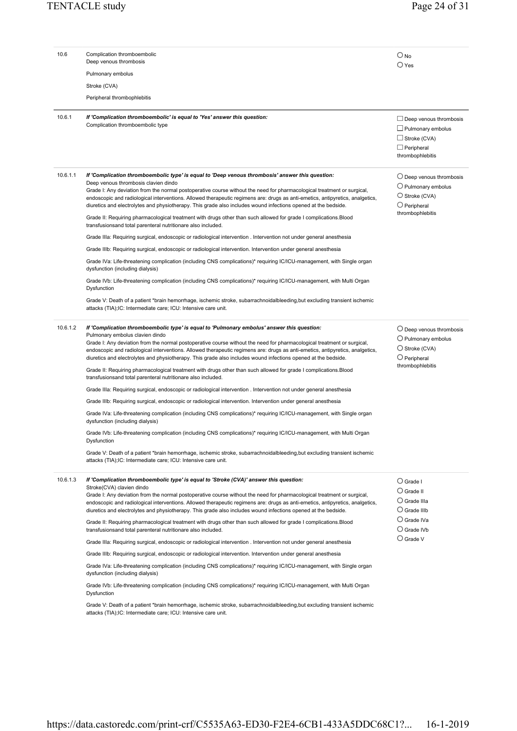| 10.6     | Complication thromboembolic<br>Deep venous thrombosis                                                                                                                                                                                                                                                                                                                                                                                                                                                                  | $\bigcirc$ No<br>$\bigcirc$ Yes                                                                                           |
|----------|------------------------------------------------------------------------------------------------------------------------------------------------------------------------------------------------------------------------------------------------------------------------------------------------------------------------------------------------------------------------------------------------------------------------------------------------------------------------------------------------------------------------|---------------------------------------------------------------------------------------------------------------------------|
|          | Pulmonary embolus                                                                                                                                                                                                                                                                                                                                                                                                                                                                                                      |                                                                                                                           |
|          | Stroke (CVA)                                                                                                                                                                                                                                                                                                                                                                                                                                                                                                           |                                                                                                                           |
|          | Peripheral thrombophlebitis                                                                                                                                                                                                                                                                                                                                                                                                                                                                                            |                                                                                                                           |
| 10.6.1   | If 'Complication thromboembolic' is equal to 'Yes' answer this question:<br>Complication thromboembolic type                                                                                                                                                                                                                                                                                                                                                                                                           | $\Box$ Deep venous thrombosis<br>$\Box$ Pulmonary embolus<br>$\Box$ Stroke (CVA)<br>$\Box$ Peripheral<br>thrombophlebitis |
| 10.6.1.1 | If 'Complication thromboembolic type' is equal to 'Deep venous thrombosis' answer this question:<br>Deep venous thrombosis clavien dindo<br>Grade I: Any deviation from the normal postoperative course without the need for pharmacological treatment or surgical,<br>endoscopic and radiological interventions. Allowed therapeutic regimens are: drugs as anti-emetics, antipyretics, analgetics,<br>diuretics and electrolytes and physiotherapy. This grade also includes wound infections opened at the bedside. | $\bigcirc$ Deep venous thrombosis<br>$\bigcirc$ Pulmonary embolus<br>$\bigcirc$ Stroke (CVA)<br>$\bigcirc$ Peripheral     |
|          | Grade II: Requiring pharmacological treatment with drugs other than such allowed for grade I complications. Blood<br>transfusionsand total parenteral nutritionare also included.                                                                                                                                                                                                                                                                                                                                      | thrombophlebitis                                                                                                          |
|          | Grade IIIa: Requiring surgical, endoscopic or radiological intervention . Intervention not under general anesthesia                                                                                                                                                                                                                                                                                                                                                                                                    |                                                                                                                           |
|          | Grade IIIb: Requiring surgical, endoscopic or radiological intervention. Intervention under general anesthesia                                                                                                                                                                                                                                                                                                                                                                                                         |                                                                                                                           |
|          | Grade IVa: Life-threatening complication (including CNS complications)* requiring IC/ICU-management, with Single organ<br>dysfunction (including dialysis)                                                                                                                                                                                                                                                                                                                                                             |                                                                                                                           |
|          | Grade IVb: Life-threatening complication (including CNS complications)* requiring IC/ICU-management, with Multi Organ<br>Dysfunction                                                                                                                                                                                                                                                                                                                                                                                   |                                                                                                                           |
|          | Grade V: Death of a patient *brain hemorrhage, ischemic stroke, subarrachnoidalbleeding, but excluding transient ischemic<br>attacks (TIA);IC: Intermediate care; ICU: Intensive care unit.                                                                                                                                                                                                                                                                                                                            |                                                                                                                           |
| 10.6.1.2 | If 'Complication thromboembolic type' is equal to 'Pulmonary embolus' answer this question:<br>Pulmonary embolus clavien dindo<br>Grade I: Any deviation from the normal postoperative course without the need for pharmacological treatment or surgical,<br>endoscopic and radiological interventions. Allowed therapeutic regimens are: drugs as anti-emetics, antipyretics, analgetics,<br>diuretics and electrolytes and physiotherapy. This grade also includes wound infections opened at the bedside.           | $\bigcirc$ Deep venous thrombosis<br>$\bigcirc$ Pulmonary embolus<br>$\bigcirc$ Stroke (CVA)<br>$\bigcirc$ Peripheral     |
|          | Grade II: Requiring pharmacological treatment with drugs other than such allowed for grade I complications. Blood<br>transfusionsand total parenteral nutritionare also included.                                                                                                                                                                                                                                                                                                                                      | thrombophlebitis                                                                                                          |
|          | Grade IIIa: Requiring surgical, endoscopic or radiological intervention . Intervention not under general anesthesia                                                                                                                                                                                                                                                                                                                                                                                                    |                                                                                                                           |
|          | Grade IIIb: Requiring surgical, endoscopic or radiological intervention. Intervention under general anesthesia                                                                                                                                                                                                                                                                                                                                                                                                         |                                                                                                                           |
|          | Grade IVa: Life-threatening complication (including CNS complications)* requiring IC/ICU-management, with Single organ<br>dysfunction (including dialysis)                                                                                                                                                                                                                                                                                                                                                             |                                                                                                                           |
|          | Grade IVb: Life-threatening complication (including CNS complications)* requiring IC/ICU-management, with Multi Organ<br>Dysfunction                                                                                                                                                                                                                                                                                                                                                                                   |                                                                                                                           |
|          | Grade V: Death of a patient *brain hemorrhage, ischemic stroke, subarrachnoidalbleeding, but excluding transient ischemic<br>attacks (TIA); IC: Intermediate care; ICU: Intensive care unit.                                                                                                                                                                                                                                                                                                                           |                                                                                                                           |
| 10.6.1.3 | If 'Complication thromboembolic type' is equal to 'Stroke (CVA)' answer this question:<br>Stroke(CVA) clavien dindo<br>Grade I: Any deviation from the normal postoperative course without the need for pharmacological treatment or surgical,<br>endoscopic and radiological interventions. Allowed therapeutic regimens are: drugs as anti-emetics, antipyretics, analgetics,<br>diuretics and electrolytes and physiotherapy. This grade also includes wound infections opened at the bedside.                      | $\bigcirc$ Grade I<br>$\bigcirc$ Grade II<br>$\bigcirc$ Grade IIIa<br>$\cup$ Grade IIIb                                   |
|          | Grade II: Requiring pharmacological treatment with drugs other than such allowed for grade I complications.Blood<br>transfusionsand total parenteral nutritionare also included.                                                                                                                                                                                                                                                                                                                                       | $\bigcirc$ Grade IVa<br>$\bigcirc$ Grade IVb                                                                              |
|          | Grade IIIa: Requiring surgical, endoscopic or radiological intervention . Intervention not under general anesthesia                                                                                                                                                                                                                                                                                                                                                                                                    | $\bigcirc$ Grade V                                                                                                        |
|          | Grade IIIb: Requiring surgical, endoscopic or radiological intervention. Intervention under general anesthesia                                                                                                                                                                                                                                                                                                                                                                                                         |                                                                                                                           |
|          | Grade IVa: Life-threatening complication (including CNS complications)* requiring IC/ICU-management, with Single organ<br>dysfunction (including dialysis)                                                                                                                                                                                                                                                                                                                                                             |                                                                                                                           |
|          | Grade IVb: Life-threatening complication (including CNS complications)* requiring IC/ICU-management, with Multi Organ<br>Dysfunction                                                                                                                                                                                                                                                                                                                                                                                   |                                                                                                                           |
|          | Grade V: Death of a patient *brain hemorrhage, ischemic stroke, subarrachnoidalbleeding, but excluding transient ischemic                                                                                                                                                                                                                                                                                                                                                                                              |                                                                                                                           |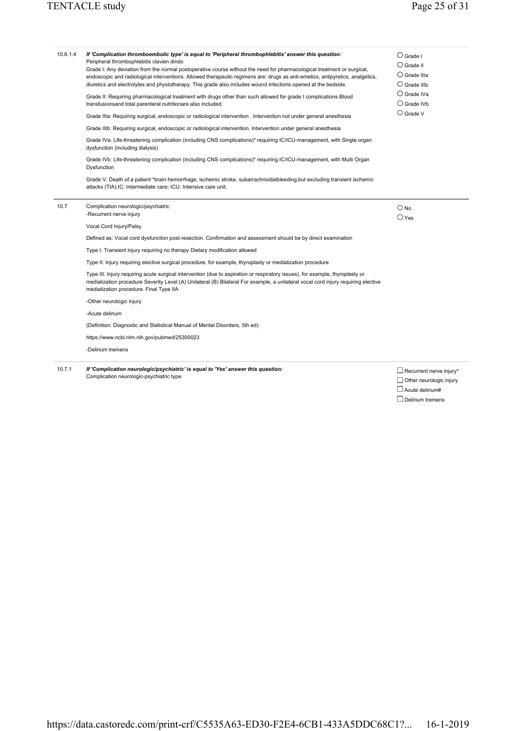| 10.6.1.4 | If 'Complication thromboembolic type' is equal to 'Peripheral thrombophlebitis' answer this question:<br>Peripheral thrombophlebitis clavien dindo<br>Grade I: Any deviation from the normal postoperative course without the need for pharmacological treatment or surgical,<br>endoscopic and radiological interventions. Allowed therapeutic regimens are: drugs as anti-emetics, antipyretics, analgetics,<br>diuretics and electrolytes and physiotherapy. This grade also includes wound infections opened at the bedside.<br>Grade II: Requiring pharmacological treatment with drugs other than such allowed for grade I complications. Blood<br>transfusionsand total parenteral nutritionare also included.<br>Grade IIIa: Requiring surgical, endoscopic or radiological intervention . Intervention not under general anesthesia<br>Grade IIIb: Requiring surgical, endoscopic or radiological intervention. Intervention under general anesthesia<br>Grade IVa: Life-threatening complication (including CNS complications)* requiring IC/ICU-management, with Single organ<br>dysfunction (including dialysis)<br>Grade IVb: Life-threatening complication (including CNS complications)* requiring IC/ICU-management, with Multi Organ<br>Dysfunction<br>Grade V: Death of a patient *brain hemorrhage, ischemic stroke, subarrachnoidalbleeding, but excluding transient ischemic<br>attacks (TIA); IC: Intermediate care; ICU: Intensive care unit. | $\bigcirc$ Grade I<br>$\bigcirc$ Grade II<br>$\bigcirc$ Grade IIIa<br>$\bigcirc$ Grade IIIb<br>$\bigcirc$ Grade IVa<br>$\bigcirc$ Grade IVb<br>$\bigcirc$ Grade V |
|----------|----------------------------------------------------------------------------------------------------------------------------------------------------------------------------------------------------------------------------------------------------------------------------------------------------------------------------------------------------------------------------------------------------------------------------------------------------------------------------------------------------------------------------------------------------------------------------------------------------------------------------------------------------------------------------------------------------------------------------------------------------------------------------------------------------------------------------------------------------------------------------------------------------------------------------------------------------------------------------------------------------------------------------------------------------------------------------------------------------------------------------------------------------------------------------------------------------------------------------------------------------------------------------------------------------------------------------------------------------------------------------------------------------------------------------------------------------------------------|-------------------------------------------------------------------------------------------------------------------------------------------------------------------|
| 10.7     | Complication neurologic/psychiatric<br>-Recurrent nerve injury                                                                                                                                                                                                                                                                                                                                                                                                                                                                                                                                                                                                                                                                                                                                                                                                                                                                                                                                                                                                                                                                                                                                                                                                                                                                                                                                                                                                       | $\bigcirc$ No<br>$\bigcirc$ Yes                                                                                                                                   |
|          | Vocal Cord Injury/Palsy                                                                                                                                                                                                                                                                                                                                                                                                                                                                                                                                                                                                                                                                                                                                                                                                                                                                                                                                                                                                                                                                                                                                                                                                                                                                                                                                                                                                                                              |                                                                                                                                                                   |
|          | Defined as: Vocal cord dysfunction post-resection. Confirmation and assessment should be by direct examination                                                                                                                                                                                                                                                                                                                                                                                                                                                                                                                                                                                                                                                                                                                                                                                                                                                                                                                                                                                                                                                                                                                                                                                                                                                                                                                                                       |                                                                                                                                                                   |
|          | Type I: Transient injury requiring no therapy Dietary modification allowed                                                                                                                                                                                                                                                                                                                                                                                                                                                                                                                                                                                                                                                                                                                                                                                                                                                                                                                                                                                                                                                                                                                                                                                                                                                                                                                                                                                           |                                                                                                                                                                   |
|          | Type II: Injury requiring elective surgical procedure, for example, thyroplasty or medialization procedure                                                                                                                                                                                                                                                                                                                                                                                                                                                                                                                                                                                                                                                                                                                                                                                                                                                                                                                                                                                                                                                                                                                                                                                                                                                                                                                                                           |                                                                                                                                                                   |
|          | Type III: Injury requiring acute surgical intervention (due to aspiration or respiratory issues), for example, thyroplasty or<br>medialization procedure Severity Level (A) Unilateral (B) Bilateral For example, a unilateral vocal cord injury requiring elective<br>medialization procedure. Final Type IIA                                                                                                                                                                                                                                                                                                                                                                                                                                                                                                                                                                                                                                                                                                                                                                                                                                                                                                                                                                                                                                                                                                                                                       |                                                                                                                                                                   |
|          | -Other neurologic injury                                                                                                                                                                                                                                                                                                                                                                                                                                                                                                                                                                                                                                                                                                                                                                                                                                                                                                                                                                                                                                                                                                                                                                                                                                                                                                                                                                                                                                             |                                                                                                                                                                   |
|          | -Acute delirium                                                                                                                                                                                                                                                                                                                                                                                                                                                                                                                                                                                                                                                                                                                                                                                                                                                                                                                                                                                                                                                                                                                                                                                                                                                                                                                                                                                                                                                      |                                                                                                                                                                   |
|          | (Definition: Diagnostic and Statistical Manual of Mental Disorders, 5th ed)                                                                                                                                                                                                                                                                                                                                                                                                                                                                                                                                                                                                                                                                                                                                                                                                                                                                                                                                                                                                                                                                                                                                                                                                                                                                                                                                                                                          |                                                                                                                                                                   |
|          | https://www.ncbi.nlm.nih.gov/pubmed/25300023                                                                                                                                                                                                                                                                                                                                                                                                                                                                                                                                                                                                                                                                                                                                                                                                                                                                                                                                                                                                                                                                                                                                                                                                                                                                                                                                                                                                                         |                                                                                                                                                                   |
|          | -Delirium tremens                                                                                                                                                                                                                                                                                                                                                                                                                                                                                                                                                                                                                                                                                                                                                                                                                                                                                                                                                                                                                                                                                                                                                                                                                                                                                                                                                                                                                                                    |                                                                                                                                                                   |
|          |                                                                                                                                                                                                                                                                                                                                                                                                                                                                                                                                                                                                                                                                                                                                                                                                                                                                                                                                                                                                                                                                                                                                                                                                                                                                                                                                                                                                                                                                      |                                                                                                                                                                   |

10.7.1 *If 'Complication neurologic/psychiatric' is equal to 'Yes' answer this question:*  Complication neurologic-psychiatric type

 $\square$  Recurrent nerve injury\*  $\Box$  Other neurologic injury  $\Box$  Acute delirium# Delirium tremens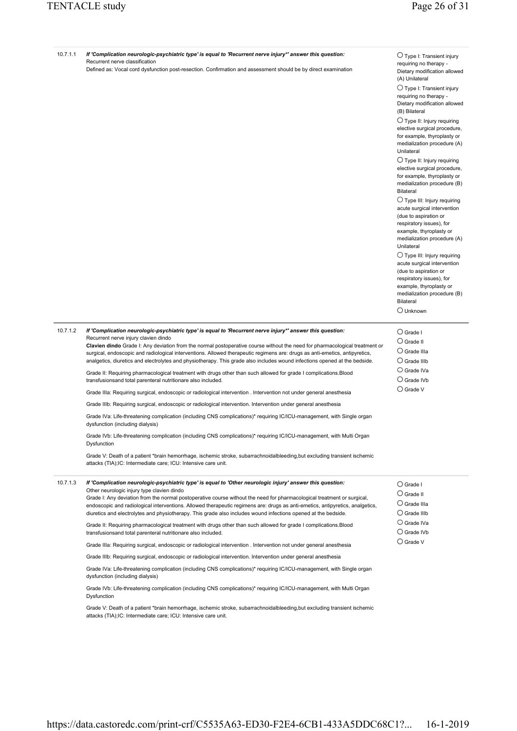| 10.7.1.1 | If 'Complication neurologic-psychiatric type' is equal to 'Recurrent nerve injury*' answer this question:<br>Recurrent nerve classification<br>Defined as: Vocal cord dysfunction post-resection. Confirmation and assessment should be by direct examination                                                                                                                                                                                                                                                                                                                                                                                                                                                                                                                                                                                                                                                                                                                                                                                                                                                                                                                                                                                                                                                                                                                                                                                                                     | $\bigcirc$ Type I: Transient injury<br>requiring no therapy -<br>Dietary modification allowed<br>(A) Unilateral<br>$\bigcirc$ Type I: Transient injury<br>requiring no therapy -<br>Dietary modification allowed<br>(B) Bilateral<br>$\bigcirc$ Type II: Injury requiring<br>elective surgical procedure,<br>for example, thyroplasty or<br>medialization procedure (A)<br>Unilateral<br>$\bigcirc$ Type II: Injury requiring<br>elective surgical procedure,<br>for example, thyroplasty or<br>medialization procedure (B)<br><b>Bilateral</b><br>$\bigcirc$ Type III: Injury requiring<br>acute surgical intervention<br>(due to aspiration or<br>respiratory issues), for<br>example, thyroplasty or<br>medialization procedure (A)<br>Unilateral<br>$\bigcirc$ Type III: Injury requiring<br>acute surgical intervention<br>(due to aspiration or<br>respiratory issues), for<br>example, thyroplasty or<br>medialization procedure (B)<br><b>Bilateral</b><br>$\bigcirc$ Unknown |
|----------|-----------------------------------------------------------------------------------------------------------------------------------------------------------------------------------------------------------------------------------------------------------------------------------------------------------------------------------------------------------------------------------------------------------------------------------------------------------------------------------------------------------------------------------------------------------------------------------------------------------------------------------------------------------------------------------------------------------------------------------------------------------------------------------------------------------------------------------------------------------------------------------------------------------------------------------------------------------------------------------------------------------------------------------------------------------------------------------------------------------------------------------------------------------------------------------------------------------------------------------------------------------------------------------------------------------------------------------------------------------------------------------------------------------------------------------------------------------------------------------|---------------------------------------------------------------------------------------------------------------------------------------------------------------------------------------------------------------------------------------------------------------------------------------------------------------------------------------------------------------------------------------------------------------------------------------------------------------------------------------------------------------------------------------------------------------------------------------------------------------------------------------------------------------------------------------------------------------------------------------------------------------------------------------------------------------------------------------------------------------------------------------------------------------------------------------------------------------------------------------|
| 10.7.1.2 | If 'Complication neurologic-psychiatric type' is equal to 'Recurrent nerve injury*' answer this question:<br>Recurrent nerve injury clavien dindo<br>Clavien dindo Grade I: Any deviation from the normal postoperative course without the need for pharmacological treatment or<br>surgical, endoscopic and radiological interventions. Allowed therapeutic regimens are: drugs as anti-emetics, antipyretics,<br>analgetics, diuretics and electrolytes and physiotherapy. This grade also includes wound infections opened at the bedside.<br>Grade II: Requiring pharmacological treatment with drugs other than such allowed for grade I complications. Blood<br>transfusionsand total parenteral nutritionare also included.<br>Grade IIIa: Requiring surgical, endoscopic or radiological intervention . Intervention not under general anesthesia<br>Grade IIIb: Requiring surgical, endoscopic or radiological intervention. Intervention under general anesthesia<br>Grade IVa: Life-threatening complication (including CNS complications)* requiring IC/ICU-management, with Single organ<br>dysfunction (including dialysis)<br>Grade IVb: Life-threatening complication (including CNS complications)* requiring IC/ICU-management, with Multi Organ<br>Dysfunction<br>Grade V: Death of a patient *brain hemorrhage, ischemic stroke, subarrachnoidalbleeding, but excluding transient ischemic<br>attacks (TIA); IC: Intermediate care; ICU: Intensive care unit. | $\bigcirc$ Grade I<br>$\bigcirc$ Grade II<br>$\bigcirc$ Grade IIIa<br>$\bigcirc$ Grade IIIb<br>$\bigcirc$ Grade IVa<br>$\bigcirc$ Grade IVb<br>$\bigcirc$ Grade V                                                                                                                                                                                                                                                                                                                                                                                                                                                                                                                                                                                                                                                                                                                                                                                                                     |
| 10.7.1.3 | If 'Complication neurologic-psychiatric type' is equal to 'Other neurologic injury' answer this question:<br>Other neurologic injury type clavien dindo<br>Grade I: Any deviation from the normal postoperative course without the need for pharmacological treatment or surgical,<br>endoscopic and radiological interventions. Allowed therapeutic regimens are: drugs as anti-emetics, antipyretics, analgetics,<br>diuretics and electrolytes and physiotherapy. This grade also includes wound infections opened at the bedside.<br>Grade II: Requiring pharmacological treatment with drugs other than such allowed for grade I complications. Blood<br>transfusionsand total parenteral nutritionare also included.<br>Grade IIIa: Requiring surgical, endoscopic or radiological intervention . Intervention not under general anesthesia<br>Grade IIIb: Requiring surgical, endoscopic or radiological intervention. Intervention under general anesthesia<br>Grade IVa: Life-threatening complication (including CNS complications)* requiring IC/ICU-management, with Single organ<br>dysfunction (including dialysis)<br>Grade IVb: Life-threatening complication (including CNS complications)* requiring IC/ICU-management, with Multi Organ<br>Dysfunction<br>Grade V: Death of a patient *brain hemorrhage, ischemic stroke, subarrachnoidalbleeding, but excluding transient ischemic<br>attacks (TIA);IC: Intermediate care; ICU: Intensive care unit.          | $\bigcirc$ Grade I<br>$\bigcirc$ Grade II<br>$\bigcirc$ Grade IIIa<br>$\bigcirc$ Grade IIIb<br>$\bigcirc$ Grade IVa<br>$\cup$ Grade IVb<br>$\bigcirc$ Grade V                                                                                                                                                                                                                                                                                                                                                                                                                                                                                                                                                                                                                                                                                                                                                                                                                         |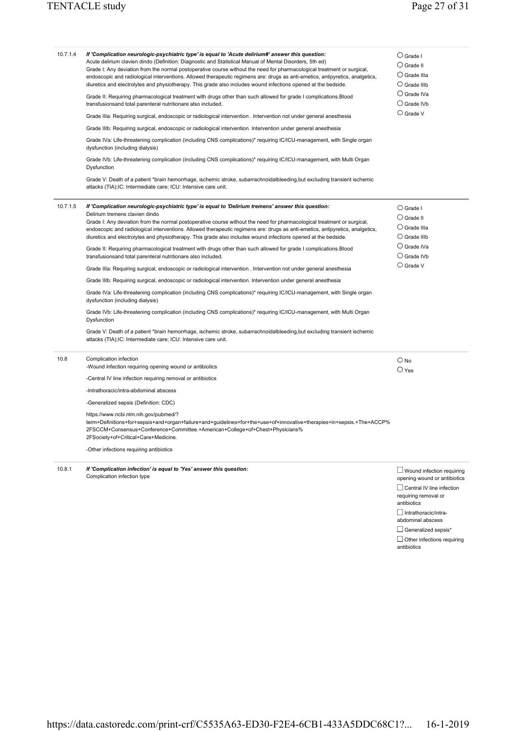| 10.7.1.4 | If 'Complication neurologic-psychiatric type' is equal to 'Acute delirium#' answer this question:<br>Acute delirium clavien dindo (Definition: Diagnostic and Statistical Manual of Mental Disorders, 5th ed)<br>Grade I: Any deviation from the normal postoperative course without the need for pharmacological treatment or surgical,<br>endoscopic and radiological interventions. Allowed therapeutic regimens are: drugs as anti-emetics, antipyretics, analgetics,<br>diuretics and electrolytes and physiotherapy. This grade also includes wound infections opened at the bedside. | $\bigcirc$ Grade I<br>$\bigcirc$ Grade II<br>$\bigcirc$ Grade IIIa<br>$\bigcirc$ Grade IIIb                                                                                                                                                                                       |
|----------|---------------------------------------------------------------------------------------------------------------------------------------------------------------------------------------------------------------------------------------------------------------------------------------------------------------------------------------------------------------------------------------------------------------------------------------------------------------------------------------------------------------------------------------------------------------------------------------------|-----------------------------------------------------------------------------------------------------------------------------------------------------------------------------------------------------------------------------------------------------------------------------------|
|          | Grade II: Requiring pharmacological treatment with drugs other than such allowed for grade I complications.Blood<br>transfusionsand total parenteral nutritionare also included.                                                                                                                                                                                                                                                                                                                                                                                                            | $\bigcirc$ Grade IVa<br>$\bigcirc$ Grade IVb                                                                                                                                                                                                                                      |
|          | Grade IIIa: Requiring surgical, endoscopic or radiological intervention . Intervention not under general anesthesia                                                                                                                                                                                                                                                                                                                                                                                                                                                                         | $\bigcirc$ Grade V                                                                                                                                                                                                                                                                |
|          | Grade IIIb: Requiring surgical, endoscopic or radiological intervention. Intervention under general anesthesia                                                                                                                                                                                                                                                                                                                                                                                                                                                                              |                                                                                                                                                                                                                                                                                   |
|          | Grade IVa: Life-threatening complication (including CNS complications)* requiring IC/ICU-management, with Single organ<br>dysfunction (including dialysis)                                                                                                                                                                                                                                                                                                                                                                                                                                  |                                                                                                                                                                                                                                                                                   |
|          | Grade IVb: Life-threatening complication (including CNS complications)* requiring IC/ICU-management, with Multi Organ<br>Dysfunction                                                                                                                                                                                                                                                                                                                                                                                                                                                        |                                                                                                                                                                                                                                                                                   |
|          | Grade V: Death of a patient *brain hemorrhage, ischemic stroke, subarrachnoidalbleeding, but excluding transient ischemic<br>attacks (TIA);IC: Intermediate care; ICU: Intensive care unit.                                                                                                                                                                                                                                                                                                                                                                                                 |                                                                                                                                                                                                                                                                                   |
| 10.7.1.5 | If 'Complication neurologic-psychiatric type' is equal to 'Delirium tremens' answer this question:<br>Delirium tremens clavien dindo<br>Grade I: Any deviation from the normal postoperative course without the need for pharmacological treatment or surgical,<br>endoscopic and radiological interventions. Allowed therapeutic regimens are: drugs as anti-emetics, antipyretics, analgetics,<br>diuretics and electrolytes and physiotherapy. This grade also includes wound infections opened at the bedside.                                                                          | $\bigcirc$ Grade I<br>$\bigcirc$ Grade II<br>$\bigcirc$ Grade IIIa<br>$\bigcirc$ Grade IIIb                                                                                                                                                                                       |
|          | Grade II: Requiring pharmacological treatment with drugs other than such allowed for grade I complications.Blood<br>transfusionsand total parenteral nutritionare also included.                                                                                                                                                                                                                                                                                                                                                                                                            | $\bigcirc$ Grade IVa<br>$\bigcirc$ Grade IVb                                                                                                                                                                                                                                      |
|          | Grade IIIa: Requiring surgical, endoscopic or radiological intervention . Intervention not under general anesthesia                                                                                                                                                                                                                                                                                                                                                                                                                                                                         | $\bigcirc$ Grade V                                                                                                                                                                                                                                                                |
|          | Grade IIIb: Requiring surgical, endoscopic or radiological intervention. Intervention under general anesthesia                                                                                                                                                                                                                                                                                                                                                                                                                                                                              |                                                                                                                                                                                                                                                                                   |
|          | Grade IVa: Life-threatening complication (including CNS complications)* requiring IC/ICU-management, with Single organ<br>dysfunction (including dialysis)                                                                                                                                                                                                                                                                                                                                                                                                                                  |                                                                                                                                                                                                                                                                                   |
|          | Grade IVb: Life-threatening complication (including CNS complications)* requiring IC/ICU-management, with Multi Organ<br>Dysfunction                                                                                                                                                                                                                                                                                                                                                                                                                                                        |                                                                                                                                                                                                                                                                                   |
|          | Grade V: Death of a patient *brain hemorrhage, ischemic stroke, subarrachnoidalbleeding, but excluding transient ischemic<br>attacks (TIA);IC: Intermediate care; ICU: Intensive care unit.                                                                                                                                                                                                                                                                                                                                                                                                 |                                                                                                                                                                                                                                                                                   |
| 10.8     | Complication infection<br>-Wound infection requiring opening wound or antibiotics                                                                                                                                                                                                                                                                                                                                                                                                                                                                                                           | $\bigcirc$ No<br>$\bigcirc$ Yes                                                                                                                                                                                                                                                   |
|          | -Central IV line infection requiring removal or antibiotics                                                                                                                                                                                                                                                                                                                                                                                                                                                                                                                                 |                                                                                                                                                                                                                                                                                   |
|          | -Intrathoracic/intra-abdominal abscess                                                                                                                                                                                                                                                                                                                                                                                                                                                                                                                                                      |                                                                                                                                                                                                                                                                                   |
|          | -Generalized sepsis (Definition: CDC)                                                                                                                                                                                                                                                                                                                                                                                                                                                                                                                                                       |                                                                                                                                                                                                                                                                                   |
|          | https://www.ncbi.nlm.nih.gov/pubmed/?<br>term=Definitions+for+sepsis+and+organ+failure+and+guidelines+for+the+use+of+innovative+therapies+in+sepsis.+The+ACCP%<br>2FSCCM+Consensus+Conference+Committee.+American+College+of+Chest+Physicians%<br>2FSociety+of+Critical+Care+Medicine.                                                                                                                                                                                                                                                                                                      |                                                                                                                                                                                                                                                                                   |
|          | -Other infections requiring antibiotics                                                                                                                                                                                                                                                                                                                                                                                                                                                                                                                                                     |                                                                                                                                                                                                                                                                                   |
| 10.8.1   | If 'Complication infection' is equal to 'Yes' answer this question:<br>Complication infection type                                                                                                                                                                                                                                                                                                                                                                                                                                                                                          | $\Box$ Wound infection requiring<br>opening wound or antibiotics<br>$\Box$ Central IV line infection<br>requiring removal or<br>antibiotics<br>$\Box$ Intrathoracic/intra-<br>abdominal abscess<br>$\Box$ Generalized sepsis*<br>$\Box$ Other infections requiring<br>antibiotics |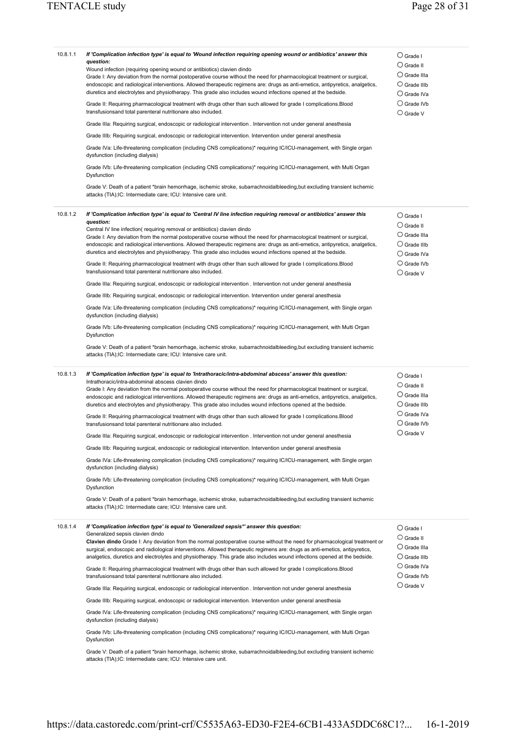| 10.8.1.1 | If 'Complication infection type' is equal to 'Wound infection requiring opening wound or antibiotics' answer this<br>question:<br>Wound infection (requiring opening wound or antibiotics) clavien dindo<br>Grade I: Any deviation from the normal postoperative course without the need for pharmacological treatment or surgical,<br>endoscopic and radiological interventions. Allowed therapeutic regimens are: drugs as anti-emetics, antipyretics, analgetics,<br>diuretics and electrolytes and physiotherapy. This grade also includes wound infections opened at the bedside.<br>Grade II: Requiring pharmacological treatment with drugs other than such allowed for grade I complications. Blood<br>transfusionsand total parenteral nutritionare also included.<br>Grade IIIa: Requiring surgical, endoscopic or radiological intervention . Intervention not under general anesthesia<br>Grade IIIb: Requiring surgical, endoscopic or radiological intervention. Intervention under general anesthesia<br>Grade IVa: Life-threatening complication (including CNS complications)* requiring IC/ICU-management, with Single organ<br>dysfunction (including dialysis)<br>Grade IVb: Life-threatening complication (including CNS complications)* requiring IC/ICU-management, with Multi Organ<br>Dysfunction<br>Grade V: Death of a patient *brain hemorrhage, ischemic stroke, subarrachnoidalbleeding, but excluding transient ischemic<br>attacks (TIA); IC: Intermediate care; ICU: Intensive care unit.       | $\bigcirc$ Grade I<br>$\bigcirc$ Grade II<br>$\bigcirc$ Grade IIIa<br>$\bigcirc$ Grade IIIb<br>$\bigcirc$ Grade IVa<br>$\bigcirc$ Grade IVb<br>$\bigcirc$ Grade V |
|----------|----------------------------------------------------------------------------------------------------------------------------------------------------------------------------------------------------------------------------------------------------------------------------------------------------------------------------------------------------------------------------------------------------------------------------------------------------------------------------------------------------------------------------------------------------------------------------------------------------------------------------------------------------------------------------------------------------------------------------------------------------------------------------------------------------------------------------------------------------------------------------------------------------------------------------------------------------------------------------------------------------------------------------------------------------------------------------------------------------------------------------------------------------------------------------------------------------------------------------------------------------------------------------------------------------------------------------------------------------------------------------------------------------------------------------------------------------------------------------------------------------------------------------------|-------------------------------------------------------------------------------------------------------------------------------------------------------------------|
| 10.8.1.2 | If 'Complication infection type' is equal to 'Central IV line infection requiring removal or antibiotics' answer this<br>question:<br>Central IV line infection(requiring removal or antibiotics) clavien dindo<br>Grade I: Any deviation from the normal postoperative course without the need for pharmacological treatment or surgical,<br>endoscopic and radiological interventions. Allowed therapeutic regimens are: drugs as anti-emetics, antipyretics, analgetics,<br>diuretics and electrolytes and physiotherapy. This grade also includes wound infections opened at the bedside.<br>Grade II: Requiring pharmacological treatment with drugs other than such allowed for grade I complications.Blood<br>transfusionsand total parenteral nutritionare also included.<br>Grade IIIa: Requiring surgical, endoscopic or radiological intervention . Intervention not under general anesthesia<br>Grade IIIb: Requiring surgical, endoscopic or radiological intervention. Intervention under general anesthesia<br>Grade IVa: Life-threatening complication (including CNS complications)* requiring IC/ICU-management, with Single organ<br>dysfunction (including dialysis)<br>Grade IVb: Life-threatening complication (including CNS complications)* requiring IC/ICU-management, with Multi Organ<br>Dysfunction<br>Grade V: Death of a patient *brain hemorrhage, ischemic stroke, subarrachnoidalbleeding, but excluding transient ischemic<br>attacks (TIA); IC: Intermediate care; ICU: Intensive care unit. | $\bigcirc$ Grade I<br>$\bigcirc$ Grade II<br>$\bigcirc$ Grade IIIa<br>$\bigcirc$ Grade IIIb<br>$\bigcirc$ Grade IVa<br>$\bigcirc$ Grade IVb<br>$\bigcirc$ Grade V |
| 10.8.1.3 | If 'Complication infection type' is equal to 'Intrathoracic/intra-abdominal abscess' answer this question:<br>Intrathoracic/intra-abdominal abscess clavien dindo<br>Grade I: Any deviation from the normal postoperative course without the need for pharmacological treatment or surgical,<br>endoscopic and radiological interventions. Allowed therapeutic regimens are: drugs as anti-emetics, antipyretics, analgetics,<br>diuretics and electrolytes and physiotherapy. This grade also includes wound infections opened at the bedside.<br>Grade II: Requiring pharmacological treatment with drugs other than such allowed for grade I complications. Blood<br>transfusionsand total parenteral nutritionare also included.<br>Grade IIIa: Requiring surgical, endoscopic or radiological intervention . Intervention not under general anesthesia<br>Grade IIIb: Requiring surgical, endoscopic or radiological intervention. Intervention under general anesthesia<br>Grade IVa: Life-threatening complication (including CNS complications)* requiring IC/ICU-management, with Single organ<br>dysfunction (including dialysis)<br>Grade IVb: Life-threatening complication (including CNS complications)* requiring IC/ICU-management, with Multi Organ<br>Dysfunction<br>Grade V: Death of a patient *brain hemorrhage, ischemic stroke, subarrachnoidalbleeding, but excluding transient ischemic<br>attacks (TIA); IC: Intermediate care; ICU: Intensive care unit.                                              | $\bigcirc$ Grade I<br>$\bigcirc$ Grade II<br>$\bigcirc$ Grade IIIa<br>$\bigcirc$ Grade IIIb<br>$\bigcirc$ Grade IVa<br>$\bigcirc$ Grade IVb<br>$\cup$ Grade V     |
| 10.8.1.4 | If 'Complication infection type' is equal to 'Generalized sepsis*' answer this question:<br>Generalized sepsis clavien dindo<br>Clavien dindo Grade I: Any deviation from the normal postoperative course without the need for pharmacological treatment or<br>surgical, endoscopic and radiological interventions. Allowed therapeutic regimens are: drugs as anti-emetics, antipyretics,<br>analgetics, diuretics and electrolytes and physiotherapy. This grade also includes wound infections opened at the bedside.<br>Grade II: Requiring pharmacological treatment with drugs other than such allowed for grade I complications.Blood<br>transfusionsand total parenteral nutritionare also included.<br>Grade IIIa: Requiring surgical, endoscopic or radiological intervention . Intervention not under general anesthesia<br>Grade IIIb: Requiring surgical, endoscopic or radiological intervention. Intervention under general anesthesia<br>Grade IVa: Life-threatening complication (including CNS complications)* requiring IC/ICU-management, with Single organ<br>dysfunction (including dialysis)<br>Grade IVb: Life-threatening complication (including CNS complications)* requiring IC/ICU-management, with Multi Organ<br>Dysfunction<br>Grade V: Death of a patient *brain hemorrhage, ischemic stroke, subarrachnoidalbleeding, but excluding transient ischemic<br>attacks (TIA);IC: Intermediate care; ICU: Intensive care unit.                                                                       | $\bigcirc$ Grade I<br>$\bigcirc$ Grade II<br>$\cup$ Grade IIIa<br>$\bigcirc$ Grade IIIb<br>$\bigcirc$ Grade IVa<br>$\cup$ Grade IVb<br>$\bigcirc$ Grade V         |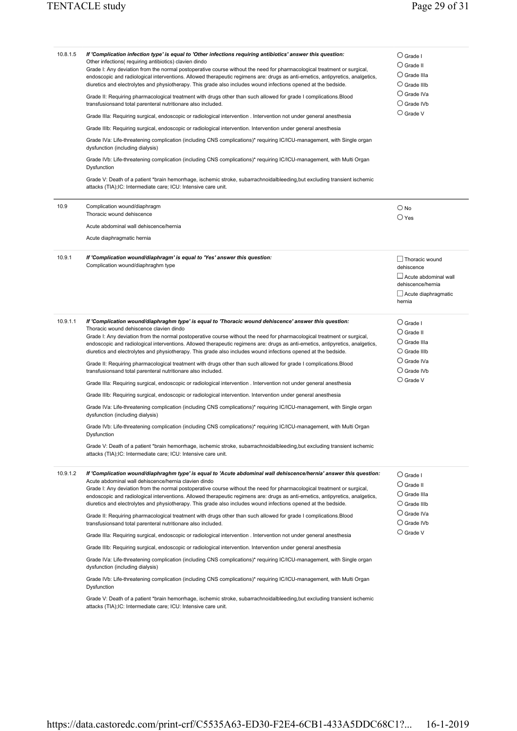| 10.8.1.5 | If 'Complication infection type' is equal to 'Other infections requiring antibiotics' answer this question:<br>Other infections(requiring antibiotics) clavien dindo<br>Grade I: Any deviation from the normal postoperative course without the need for pharmacological treatment or surgical,<br>endoscopic and radiological interventions. Allowed therapeutic regimens are: drugs as anti-emetics, antipyretics, analgetics,<br>diuretics and electrolytes and physiotherapy. This grade also includes wound infections opened at the bedside.<br>Grade II: Requiring pharmacological treatment with drugs other than such allowed for grade I complications. Blood<br>transfusionsand total parenteral nutritionare also included.<br>Grade IIIa: Requiring surgical, endoscopic or radiological intervention . Intervention not under general anesthesia<br>Grade IIIb: Requiring surgical, endoscopic or radiological intervention. Intervention under general anesthesia<br>Grade IVa: Life-threatening complication (including CNS complications)* requiring IC/ICU-management, with Single organ<br>dysfunction (including dialysis)<br>Grade IVb: Life-threatening complication (including CNS complications)* requiring IC/ICU-management, with Multi Organ<br>Dysfunction<br>Grade V: Death of a patient *brain hemorrhage, ischemic stroke, subarrachnoidalbleeding, but excluding transient ischemic<br>attacks (TIA);IC: Intermediate care; ICU: Intensive care unit. | $\bigcirc$ Grade I<br>$\bigcirc$ Grade II<br>$\bigcirc$ Grade IIIa<br>$\bigcirc$ Grade IIIb<br>$\bigcirc$ Grade IVa<br>$\bigcirc$ Grade IVb<br>$\bigcirc$ Grade V |
|----------|---------------------------------------------------------------------------------------------------------------------------------------------------------------------------------------------------------------------------------------------------------------------------------------------------------------------------------------------------------------------------------------------------------------------------------------------------------------------------------------------------------------------------------------------------------------------------------------------------------------------------------------------------------------------------------------------------------------------------------------------------------------------------------------------------------------------------------------------------------------------------------------------------------------------------------------------------------------------------------------------------------------------------------------------------------------------------------------------------------------------------------------------------------------------------------------------------------------------------------------------------------------------------------------------------------------------------------------------------------------------------------------------------------------------------------------------------------------------------------------|-------------------------------------------------------------------------------------------------------------------------------------------------------------------|
| 10.9     | Complication wound/diaphragm<br>Thoracic wound dehiscence<br>Acute abdominal wall dehiscence/hernia<br>Acute diaphragmatic hernia                                                                                                                                                                                                                                                                                                                                                                                                                                                                                                                                                                                                                                                                                                                                                                                                                                                                                                                                                                                                                                                                                                                                                                                                                                                                                                                                                     | $\bigcirc$ No<br>$\bigcirc$ Yes                                                                                                                                   |
| 10.9.1   | If 'Complication wound/diaphragm' is equal to 'Yes' answer this question:<br>Complication wound/diaphraghm type                                                                                                                                                                                                                                                                                                                                                                                                                                                                                                                                                                                                                                                                                                                                                                                                                                                                                                                                                                                                                                                                                                                                                                                                                                                                                                                                                                       | $\Box$ Thoracic wound<br>dehiscence<br>$\Box$ Acute abdominal wall<br>dehiscence/hernia<br>$\Box$ Acute diaphragmatic<br>hernia                                   |
| 10.9.1.1 | If 'Complication wound/diaphraghm type' is equal to 'Thoracic wound dehiscence' answer this question:<br>Thoracic wound dehiscence clavien dindo<br>Grade I: Any deviation from the normal postoperative course without the need for pharmacological treatment or surgical,<br>endoscopic and radiological interventions. Allowed therapeutic regimens are: drugs as anti-emetics, antipyretics, analgetics,<br>diuretics and electrolytes and physiotherapy. This grade also includes wound infections opened at the bedside.<br>Grade II: Requiring pharmacological treatment with drugs other than such allowed for grade I complications.Blood<br>transfusionsand total parenteral nutritionare also included.<br>Grade IIIa: Requiring surgical, endoscopic or radiological intervention . Intervention not under general anesthesia<br>Grade IIIb: Requiring surgical, endoscopic or radiological intervention. Intervention under general anesthesia<br>Grade IVa: Life-threatening complication (including CNS complications)* requiring IC/ICU-management, with Single organ<br>dysfunction (including dialysis)<br>Grade IVb: Life-threatening complication (including CNS complications)* requiring IC/ICU-management, with Multi Organ<br>Dysfunction<br>Grade V: Death of a patient *brain hemorrhage, ischemic stroke, subarrachnoidalbleeding, but excluding transient ischemic<br>attacks (TIA); IC: Intermediate care; ICU: Intensive care unit.                     | $\bigcirc$ Grade I<br>$\bigcirc$ Grade II<br>$\bigcirc$ Grade IIIa<br>$\bigcirc$ Grade IIIb<br>$\bigcirc$ Grade IVa<br>$\bigcirc$ Grade IVb<br>$\bigcirc$ Grade V |
| 10.9.1.2 | If 'Complication wound/diaphraghm type' is equal to 'Acute abdominal wall dehiscence/hernia' answer this question:<br>Acute abdominal wall dehiscence/hernia clavien dindo<br>Grade I: Any deviation from the normal postoperative course without the need for pharmacological treatment or surgical,<br>endoscopic and radiological interventions. Allowed therapeutic regimens are: drugs as anti-emetics, antipyretics, analgetics,<br>diuretics and electrolytes and physiotherapy. This grade also includes wound infections opened at the bedside.<br>Grade II: Requiring pharmacological treatment with drugs other than such allowed for grade I complications.Blood<br>transfusionsand total parenteral nutritionare also included.<br>Grade IIIa: Requiring surgical, endoscopic or radiological intervention . Intervention not under general anesthesia<br>Grade IIIb: Requiring surgical, endoscopic or radiological intervention. Intervention under general anesthesia<br>Grade IVa: Life-threatening complication (including CNS complications)* requiring IC/ICU-management, with Single organ<br>dysfunction (including dialysis)<br>Grade IVb: Life-threatening complication (including CNS complications)* requiring IC/ICU-management, with Multi Organ<br>Dysfunction                                                                                                                                                                                           | $\bigcirc$ Grade I<br>$\bigcirc$ Grade II<br>$\bigcirc$ Grade IIIa<br>$\bigcirc$ Grade IIIb<br>$\bigcirc$ Grade IVa<br>$\bigcirc$ Grade IVb<br>$\bigcirc$ Grade V |

Grade V: Death of a patient \*brain hemorrhage, ischemic stroke, subarrachnoidalbleeding,but excluding transient ischemic attacks (TIA);IC: Intermediate care; ICU: Intensive care unit.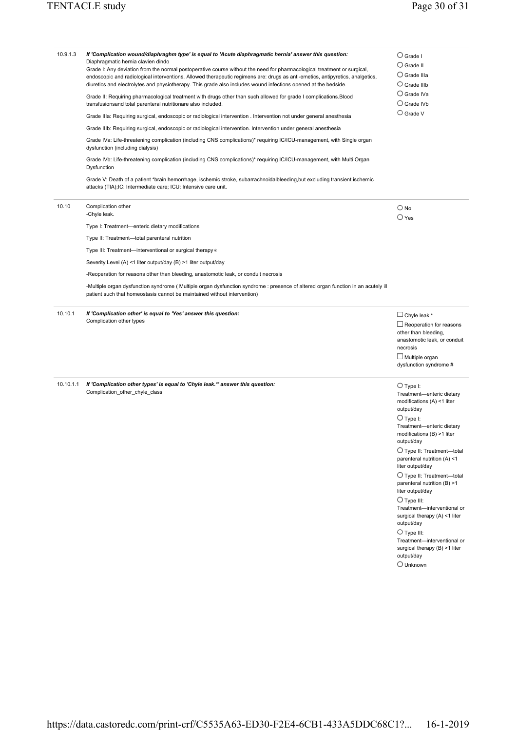| If 'Complication wound/diaphraghm type' is equal to 'Acute diaphragmatic hernia' answer this question:<br>Diaphragmatic hernia clavien dindo<br>Grade I: Any deviation from the normal postoperative course without the need for pharmacological treatment or surgical,<br>endoscopic and radiological interventions. Allowed therapeutic regimens are: drugs as anti-emetics, antipyretics, analgetics,<br>diuretics and electrolytes and physiotherapy. This grade also includes wound infections opened at the bedside. | $\bigcirc$ Grade I<br>$\bigcirc$ Grade II<br>$\bigcirc$ Grade IIIa<br>$\bigcirc$ Grade IIIb                                                                                                                                                                                                                                                                                                                                                                                                                                                                                                                      |
|----------------------------------------------------------------------------------------------------------------------------------------------------------------------------------------------------------------------------------------------------------------------------------------------------------------------------------------------------------------------------------------------------------------------------------------------------------------------------------------------------------------------------|------------------------------------------------------------------------------------------------------------------------------------------------------------------------------------------------------------------------------------------------------------------------------------------------------------------------------------------------------------------------------------------------------------------------------------------------------------------------------------------------------------------------------------------------------------------------------------------------------------------|
| Grade II: Requiring pharmacological treatment with drugs other than such allowed for grade I complications. Blood<br>transfusionsand total parenteral nutritionare also included.                                                                                                                                                                                                                                                                                                                                          | $\bigcirc$ Grade IVa<br>$\bigcirc$ Grade IVb                                                                                                                                                                                                                                                                                                                                                                                                                                                                                                                                                                     |
| Grade IIIa: Requiring surgical, endoscopic or radiological intervention . Intervention not under general anesthesia                                                                                                                                                                                                                                                                                                                                                                                                        | $\bigcirc$ Grade V                                                                                                                                                                                                                                                                                                                                                                                                                                                                                                                                                                                               |
| Grade IIIb: Requiring surgical, endoscopic or radiological intervention. Intervention under general anesthesia                                                                                                                                                                                                                                                                                                                                                                                                             |                                                                                                                                                                                                                                                                                                                                                                                                                                                                                                                                                                                                                  |
| Grade IVa: Life-threatening complication (including CNS complications)* requiring IC/ICU-management, with Single organ<br>dysfunction (including dialysis)                                                                                                                                                                                                                                                                                                                                                                 |                                                                                                                                                                                                                                                                                                                                                                                                                                                                                                                                                                                                                  |
| Grade IVb: Life-threatening complication (including CNS complications)* requiring IC/ICU-management, with Multi Organ<br>Dysfunction                                                                                                                                                                                                                                                                                                                                                                                       |                                                                                                                                                                                                                                                                                                                                                                                                                                                                                                                                                                                                                  |
| Grade V: Death of a patient *brain hemorrhage, ischemic stroke, subarrachnoidalbleeding, but excluding transient ischemic<br>attacks (TIA); IC: Intermediate care; ICU: Intensive care unit.                                                                                                                                                                                                                                                                                                                               |                                                                                                                                                                                                                                                                                                                                                                                                                                                                                                                                                                                                                  |
| Complication other<br>-Chyle leak.                                                                                                                                                                                                                                                                                                                                                                                                                                                                                         | $\bigcirc$ No<br>$\bigcirc$ Yes                                                                                                                                                                                                                                                                                                                                                                                                                                                                                                                                                                                  |
| Type I: Treatment-enteric dietary modifications                                                                                                                                                                                                                                                                                                                                                                                                                                                                            |                                                                                                                                                                                                                                                                                                                                                                                                                                                                                                                                                                                                                  |
| Type II: Treatment-total parenteral nutrition                                                                                                                                                                                                                                                                                                                                                                                                                                                                              |                                                                                                                                                                                                                                                                                                                                                                                                                                                                                                                                                                                                                  |
| Type III: Treatment-interventional or surgical therapy *                                                                                                                                                                                                                                                                                                                                                                                                                                                                   |                                                                                                                                                                                                                                                                                                                                                                                                                                                                                                                                                                                                                  |
| Severity Level (A) <1 liter output/day (B) >1 liter output/day                                                                                                                                                                                                                                                                                                                                                                                                                                                             |                                                                                                                                                                                                                                                                                                                                                                                                                                                                                                                                                                                                                  |
| -Reoperation for reasons other than bleeding, anastomotic leak, or conduit necrosis                                                                                                                                                                                                                                                                                                                                                                                                                                        |                                                                                                                                                                                                                                                                                                                                                                                                                                                                                                                                                                                                                  |
| -Multiple organ dysfunction syndrome (Multiple organ dysfunction syndrome: presence of altered organ function in an acutely ill<br>patient such that homeostasis cannot be maintained without intervention)                                                                                                                                                                                                                                                                                                                |                                                                                                                                                                                                                                                                                                                                                                                                                                                                                                                                                                                                                  |
| If 'Complication other' is equal to 'Yes' answer this question:<br>Complication other types                                                                                                                                                                                                                                                                                                                                                                                                                                | $\Box$ Chyle leak.*<br>$\Box$ Reoperation for reasons<br>other than bleeding,<br>anastomotic leak, or conduit<br>necrosis<br>$\Box$ Multiple organ<br>dysfunction syndrome #                                                                                                                                                                                                                                                                                                                                                                                                                                     |
| If 'Complication other types' is equal to 'Chyle leak.*' answer this question:<br>Complication_other_chyle_class                                                                                                                                                                                                                                                                                                                                                                                                           | $\bigcirc$ Type I:<br>Treatment-enteric dietary<br>modifications (A) <1 liter<br>output/day<br>$\bigcirc$ Type I:<br>Treatment-enteric dietary<br>modifications (B) >1 liter<br>output/day<br>$\bigcirc$ Type II: Treatment-total<br>parenteral nutrition (A) <1<br>liter output/day<br>$\bigcirc$ Type II: Treatment-total<br>parenteral nutrition (B) >1<br>liter output/day<br>$\bigcirc$ Type III:<br>Treatment-interventional or<br>surgical therapy (A) <1 liter<br>output/day<br>$\bigcirc$ Type III:<br>Treatment-interventional or<br>surgical therapy (B) >1 liter<br>output/day<br>$\bigcirc$ Unknown |
|                                                                                                                                                                                                                                                                                                                                                                                                                                                                                                                            |                                                                                                                                                                                                                                                                                                                                                                                                                                                                                                                                                                                                                  |